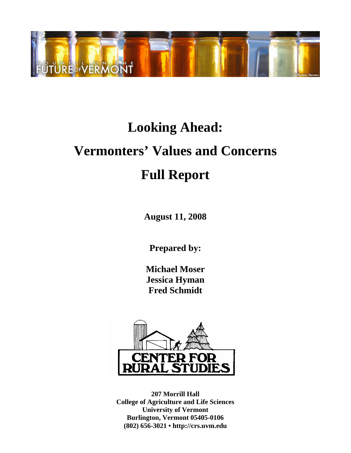

# **Looking Ahead: Vermonters' Values and Concerns Full Report**

**August 11, 2008** 

**Prepared by:** 

**Michael Moser Jessica Hyman Fred Schmidt** 



**207 Morrill Hall College of Agriculture and Life Sciences University of Vermont Burlington, Vermont 05405-0106 (802) 656-3021 • http://crs.uvm.edu**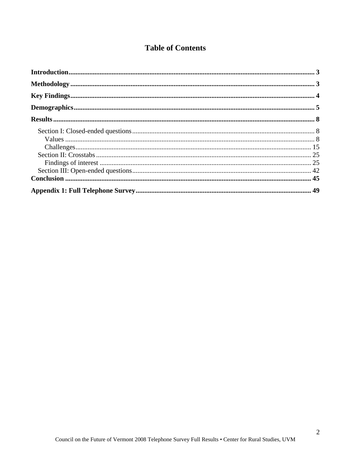# **Table of Contents**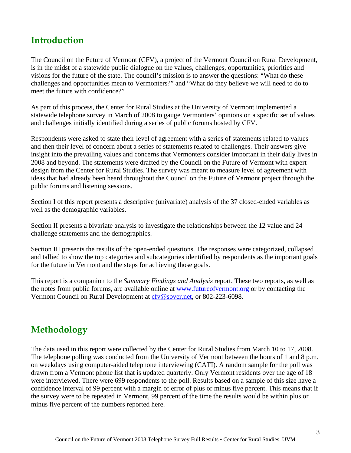# **Introduction**

The Council on the Future of Vermont (CFV), a project of the Vermont Council on Rural Development, is in the midst of a statewide public dialogue on the values, challenges, opportunities, priorities and visions for the future of the state. The council's mission is to answer the questions: "What do these challenges and opportunities mean to Vermonters?" and "What do they believe we will need to do to meet the future with confidence?"

As part of this process, the Center for Rural Studies at the University of Vermont implemented a statewide telephone survey in March of 2008 to gauge Vermonters' opinions on a specific set of values and challenges initially identified during a series of public forums hosted by CFV.

Respondents were asked to state their level of agreement with a series of statements related to values and then their level of concern about a series of statements related to challenges. Their answers give insight into the prevailing values and concerns that Vermonters consider important in their daily lives in 2008 and beyond. The statements were drafted by the Council on the Future of Vermont with expert design from the Center for Rural Studies. The survey was meant to measure level of agreement with ideas that had already been heard throughout the Council on the Future of Vermont project through the public forums and listening sessions.

Section I of this report presents a descriptive (univariate) analysis of the 37 closed-ended variables as well as the demographic variables.

Section II presents a bivariate analysis to investigate the relationships between the 12 value and 24 challenge statements and the demographics.

Section III presents the results of the open-ended questions. The responses were categorized, collapsed and tallied to show the top categories and subcategories identified by respondents as the important goals for the future in Vermont and the steps for achieving those goals.

This report is a companion to the *Summary Findings and Analysis* report. These two reports, as well as the notes from public forums, are available online at www.futureofvermont.org or by contacting the Vermont Council on Rural Development at cfv@sover.net, or 802-223-6098.

# **Methodology**

The data used in this report were collected by the Center for Rural Studies from March 10 to 17, 2008. The telephone polling was conducted from the University of Vermont between the hours of 1 and 8 p.m. on weekdays using computer-aided telephone interviewing (CATI). A random sample for the poll was drawn from a Vermont phone list that is updated quarterly. Only Vermont residents over the age of 18 were interviewed. There were 699 respondents to the poll. Results based on a sample of this size have a confidence interval of 99 percent with a margin of error of plus or minus five percent. This means that if the survey were to be repeated in Vermont, 99 percent of the time the results would be within plus or minus five percent of the numbers reported here.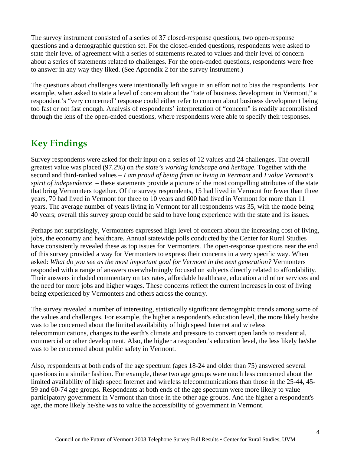The survey instrument consisted of a series of 37 closed-response questions, two open-response questions and a demographic question set. For the closed-ended questions, respondents were asked to state their level of agreement with a series of statements related to values and their level of concern about a series of statements related to challenges. For the open-ended questions, respondents were free to answer in any way they liked. (See Appendix 2 for the survey instrument.)

The questions about challenges were intentionally left vague in an effort not to bias the respondents. For example, when asked to state a level of concern about the "rate of business development in Vermont," a respondent's "very concerned" response could either refer to concern about business development being too fast or not fast enough. Analysis of respondents' interpretation of "concern" is readily accomplished through the lens of the open-ended questions, where respondents were able to specify their responses.

# **Key Findings**

Survey respondents were asked for their input on a series of 12 values and 24 challenges. The overall greatest value was placed (97.2%) on *the state's working landscape and heritage*. Together with the second and third-ranked values – *I am proud of being from or living in Vermont* and *I value Vermont's spirit of independence* – these statements provide a picture of the most compelling attributes of the state that bring Vermonters together. Of the survey respondents, 15 had lived in Vermont for fewer than three years, 70 had lived in Vermont for three to 10 years and 600 had lived in Vermont for more than 11 years. The average number of years living in Vermont for all respondents was 35, with the mode being 40 years; overall this survey group could be said to have long experience with the state and its issues.

Perhaps not surprisingly, Vermonters expressed high level of concern about the increasing cost of living, jobs, the economy and healthcare. Annual statewide polls conducted by the Center for Rural Studies have consistently revealed these as top issues for Vermonters. The open-response questions near the end of this survey provided a way for Vermonters to express their concerns in a very specific way. When asked: *What do you see as the most important goal for Vermont in the next generation?* Vermonters responded with a range of answers overwhelmingly focused on subjects directly related to affordability. Their answers included commentary on tax rates, affordable healthcare, education and other services and the need for more jobs and higher wages. These concerns reflect the current increases in cost of living being experienced by Vermonters and others across the country.

The survey revealed a number of interesting, statistically significant demographic trends among some of the values and challenges. For example, the higher a respondent's education level, the more likely he/she was to be concerned about the limited availability of high speed Internet and wireless telecommunications, changes to the earth's climate and pressure to convert open lands to residential, commercial or other development. Also, the higher a respondent's education level, the less likely he/she was to be concerned about public safety in Vermont.

Also, respondents at both ends of the age spectrum (ages 18-24 and older than 75) answered several questions in a similar fashion. For example, these two age groups were much less concerned about the limited availability of high speed Internet and wireless telecommunications than those in the 25-44, 45- 59 and 60-74 age groups. Respondents at both ends of the age spectrum were more likely to value participatory government in Vermont than those in the other age groups. And the higher a respondent's age, the more likely he/she was to value the accessibility of government in Vermont.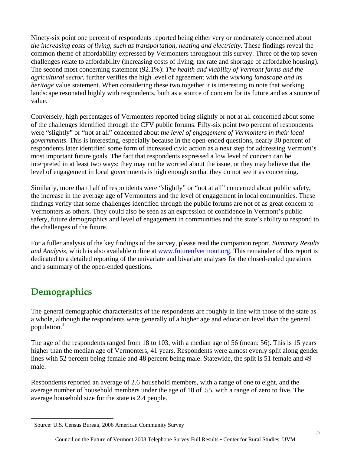Ninety-six point one percent of respondents reported being either very or moderately concerned about *the increasing costs of living, such as transportation, heating and electricity*. These findings reveal the common theme of affordability expressed by Vermonters throughout this survey. Three of the top seven challenges relate to affordability (increasing costs of living, tax rate and shortage of affordable housing). The second most concerning statement (92.1%): *The health and viability of Vermont farms and the agricultural sector*, further verifies the high level of agreement with the *working landscape and its heritage* value statement. When considering these two together it is interesting to note that working landscape resonated highly with respondents, both as a source of concern for its future and as a source of value.

Conversely, high percentages of Vermonters reported being slightly or not at all concerned about some of the challenges identified through the CFV public forums. Fifty-six point two percent of respondents were "slightly" or "not at all" concerned about *the level of engagement of Vermonters in their local governments*. This is interesting, especially because in the open-ended questions, nearly 30 percent of respondents later identified some form of increased civic action as a next step for addressing Vermont's most important future goals. The fact that respondents expressed a low level of concern can be interpreted in at least two ways: they may not be worried about the issue, or they may believe that the level of engagement in local governments is high enough so that they do not see it as concerning.

Similarly, more than half of respondents were "slightly" or "not at all" concerned about public safety, the increase in the average age of Vermonters and the level of engagement in local communities. These findings verify that some challenges identified through the public forums are not of as great concern to Vermonters as others. They could also be seen as an expression of confidence in Vermont's public safety, future demographics and level of engagement in communities and the state's ability to respond to the challenges of the future.

For a fuller analysis of the key findings of the survey, please read the companion report, *Summary Results and Analysis,* which is also available online at www.futureofvermont.org. This remainder of this report is dedicated to a detailed reporting of the univariate and bivariate analyses for the closed-ended questions and a summary of the open-ended questions.

# **Demographics**

The general demographic characteristics of the respondents are roughly in line with those of the state as a whole, although the respondents were generally of a higher age and education level than the general population.<sup>1</sup>

The age of the respondents ranged from 18 to 103, with a median age of 56 (mean: 56). This is 15 years higher than the median age of Vermonters, 41 years. Respondents were almost evenly split along gender lines with 52 percent being female and 48 percent being male. Statewide, the split is 51 female and 49 male.

Respondents reported an average of 2.6 household members, with a range of one to eight, and the average number of household members under the age of 18 of .55, with a range of zero to five. The average household size for the state is 2.4 people.

 1 Source: U.S. Census Bureau, 2006 American Community Survey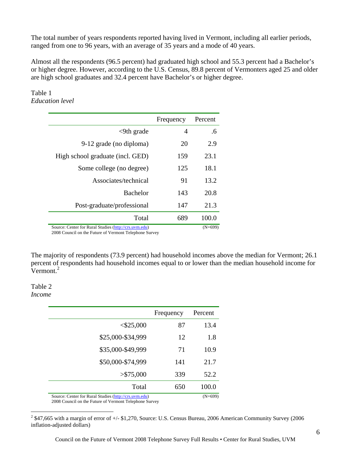The total number of years respondents reported having lived in Vermont, including all earlier periods, ranged from one to 96 years, with an average of 35 years and a mode of 40 years.

Almost all the respondents (96.5 percent) had graduated high school and 55.3 percent had a Bachelor's or higher degree. However, according to the U.S. Census, 89.8 percent of Vermonters aged 25 and older are high school graduates and 32.4 percent have Bachelor's or higher degree.

#### Table 1 *Education level*

|                                                       | Frequency | Percent   |
|-------------------------------------------------------|-----------|-----------|
| $<9$ th grade                                         | 4         | .6        |
| 9-12 grade (no diploma)                               | 20        | 2.9       |
| High school graduate (incl. GED)                      | 159       | 23.1      |
| Some college (no degree)                              | 125       | 18.1      |
| Associates/technical                                  | 91        | 13.2      |
| <b>Bachelor</b>                                       | 143       | 20.8      |
| Post-graduate/professional                            | 147       | 21.3      |
| Total                                                 | 689       | 100.0     |
| Source: Center for Rural Studies (http://crs.uvm.edu) |           | $(N=699)$ |

2008 Council on the Future of Vermont Telephone Survey

The majority of respondents (73.9 percent) had household incomes above the median for Vermont; 26.1 percent of respondents had household incomes equal to or lower than the median household income for  $Vermont.<sup>2</sup>$ 

#### Table 2 *Income*

 $\overline{a}$ 

|                                                       | Frequency | Percent   |
|-------------------------------------------------------|-----------|-----------|
| $<$ \$25,000                                          | 87        | 13.4      |
| \$25,000-\$34,999                                     | 12        | 1.8       |
| \$35,000-\$49,999                                     | 71        | 10.9      |
| \$50,000-\$74,999                                     | 141       | 21.7      |
| > \$75,000                                            | 339       | 52.2      |
| Total                                                 | 650       | 100.0     |
| Source: Center for Rural Studies (http://crs.uvm.edu) |           | $(N=699)$ |

2008 Council on the Future of Vermont Telephone Survey

 $2^2$  \$47,665 with a margin of error of  $+/-$  \$1,270, Source: U.S. Census Bureau, 2006 American Community Survey (2006) inflation-adjusted dollars)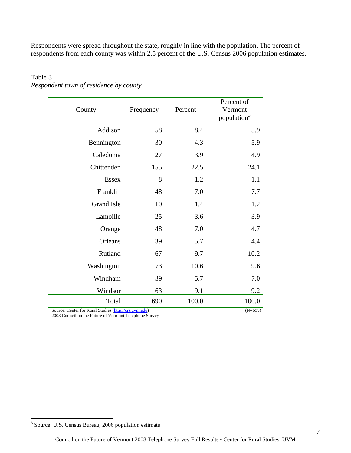Respondents were spread throughout the state, roughly in line with the population. The percent of respondents from each county was within 2.5 percent of the U.S. Census 2006 population estimates.

| County            | Frequency | Percent | Percent of<br>Vermont<br>population <sup>3</sup> |
|-------------------|-----------|---------|--------------------------------------------------|
| Addison           | 58        | 8.4     | 5.9                                              |
| Bennington        | 30        | 4.3     | 5.9                                              |
| Caledonia         | 27        | 3.9     | 4.9                                              |
| Chittenden        | 155       | 22.5    | 24.1                                             |
| <b>Essex</b>      | 8         | 1.2     | 1.1                                              |
| Franklin          | 48        | 7.0     | 7.7                                              |
| <b>Grand Isle</b> | 10        | 1.4     | 1.2                                              |
| Lamoille          | 25        | 3.6     | 3.9                                              |
| Orange            | 48        | 7.0     | 4.7                                              |
| Orleans           | 39        | 5.7     | 4.4                                              |
| Rutland           | 67        | 9.7     | 10.2                                             |
| Washington        | 73        | 10.6    | 9.6                                              |
| Windham           | 39        | 5.7     | 7.0                                              |
| Windsor           | 63        | 9.1     | 9.2                                              |
| Total             | 690       | 100.0   | 100.0                                            |

## Table 3 *Respondent town of residence by county*

Source: Center for Rural Studies (http://crs.uvm.edu) (N=699)

2008 Council on the Future of Vermont Telephone Survey

 3 Source: U.S. Census Bureau, 2006 population estimate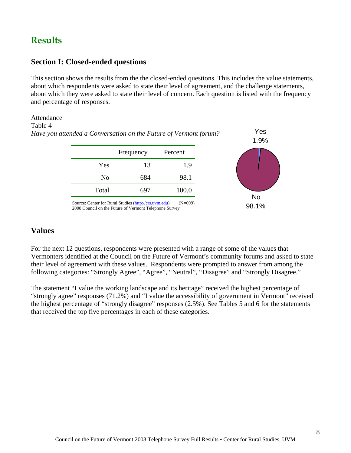# **Results**

#### **Section I: Closed-ended questions**

This section shows the results from the the closed-ended questions. This includes the value statements, about which respondents were asked to state their level of agreement, and the challenge statements, about which they were asked to state their level of concern. Each question is listed with the frequency and percentage of responses.

#### Attendance Table 4 *Have you attended a Conversation on the Future of Vermont forum?*



Yes 1.9%

2008 Council on the Future of Vermont Telephone Survey

# **Values**

For the next 12 questions, respondents were presented with a range of some of the values that Vermonters identified at the Council on the Future of Vermont's community forums and asked to state their level of agreement with these values. Respondents were prompted to answer from among the following categories: "Strongly Agree", "Agree", "Neutral", "Disagree" and "Strongly Disagree."

The statement "I value the working landscape and its heritage" received the highest percentage of "strongly agree" responses (71.2%) and "I value the accessibility of government in Vermont" received the highest percentage of "strongly disagree" responses (2.5%). See Tables 5 and 6 for the statements that received the top five percentages in each of these categories.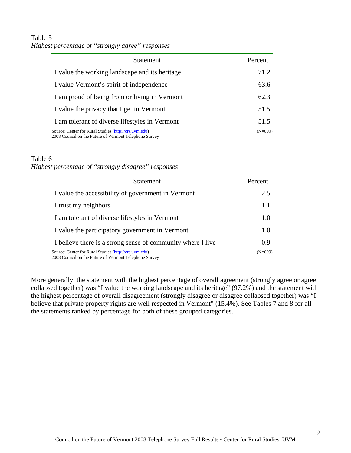# Table 5 *Highest percentage of "strongly agree" responses*

| <b>Statement</b>                                      | Percent   |
|-------------------------------------------------------|-----------|
| I value the working landscape and its heritage        | 71.2      |
| I value Vermont's spirit of independence              | 63.6      |
| I am proud of being from or living in Vermont         | 62.3      |
| I value the privacy that I get in Vermont             | 51.5      |
| I am tolerant of diverse lifestyles in Vermont        | 51.5      |
| Source: Center for Rural Studies (http://crs.uvm.edu) | $(N=699)$ |

2008 Council on the Future of Vermont Telephone Survey

#### Table 6

*Highest percentage of "strongly disagree" responses* 

| <b>Statement</b>                                            | Percent   |
|-------------------------------------------------------------|-----------|
| I value the accessibility of government in Vermont          | 2.5       |
| I trust my neighbors                                        | 1.1       |
| I am tolerant of diverse lifestyles in Vermont              | 1.0       |
| I value the participatory government in Vermont             | 1.0       |
| I believe there is a strong sense of community where I live | 0.9       |
| Source: Center for Rural Studies (http://crs.uvm.edu)       | $(N=699)$ |

2008 Council on the Future of Vermont Telephone Survey

More generally, the statement with the highest percentage of overall agreement (strongly agree or agree collapsed together) was "I value the working landscape and its heritage" (97.2%) and the statement with the highest percentage of overall disagreement (strongly disagree or disagree collapsed together) was "I believe that private property rights are well respected in Vermont" (15.4%). See Tables 7 and 8 for all the statements ranked by percentage for both of these grouped categories.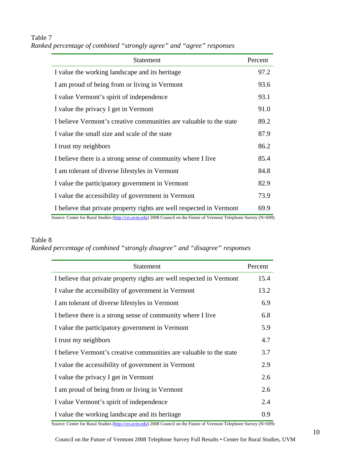# Table 7

| Ranked percentage of combined "strongly agree" and "agree" responses |  |  |  |  |  |
|----------------------------------------------------------------------|--|--|--|--|--|
|----------------------------------------------------------------------|--|--|--|--|--|

| <b>Statement</b>                                                     | Percent |
|----------------------------------------------------------------------|---------|
| I value the working landscape and its heritage                       | 97.2    |
| I am proud of being from or living in Vermont                        | 93.6    |
| I value Vermont's spirit of independence                             | 93.1    |
| I value the privacy I get in Vermont                                 | 91.0    |
| I believe Vermont's creative communities are valuable to the state   | 89.2    |
| I value the small size and scale of the state                        | 87.9    |
| I trust my neighbors                                                 | 86.2    |
| I believe there is a strong sense of community where I live          | 85.4    |
| I am tolerant of diverse lifestyles in Vermont                       | 84.8    |
| I value the participatory government in Vermont                      | 82.9    |
| I value the accessibility of government in Vermont                   | 73.9    |
| I believe that private property rights are well respected in Vermont | 69.9    |

Source: Center for Rural Studies (http://crs.uvm.edu) 2008 Council on the Future of Vermont Telephone Survey (N=699)

### Table 8

*Ranked percentage of combined "strongly disagree" and "disagree" responses* 

| <b>Statement</b>                                                     | Percent |
|----------------------------------------------------------------------|---------|
| I believe that private property rights are well respected in Vermont | 15.4    |
| I value the accessibility of government in Vermont                   | 13.2    |
| I am tolerant of diverse lifestyles in Vermont                       | 6.9     |
| I believe there is a strong sense of community where I live          | 6.8     |
| I value the participatory government in Vermont                      | 5.9     |
| I trust my neighbors                                                 | 4.7     |
| I believe Vermont's creative communities are valuable to the state   | 3.7     |
| I value the accessibility of government in Vermont                   | 2.9     |
| I value the privacy I get in Vermont                                 | 2.6     |
| I am proud of being from or living in Vermont                        | 2.6     |
| I value Vermont's spirit of independence                             | 2.4     |
| I value the working landscape and its heritage                       | 0.9     |

Source: Center for Rural Studies (http://crs.uvm.edu) 2008 Council on the Future of Vermont Telephone Survey (N=699)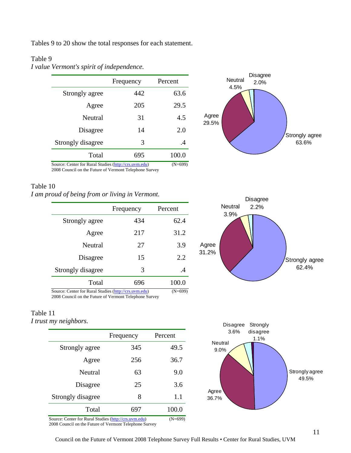Tables 9 to 20 show the total responses for each statement.

#### Table 9

*I value Vermont's spirit of independence.*

| Frequency | Percent |
|-----------|---------|
| 442       | 63.6    |
| 205       | 29.5    |
| 31        | 4.5     |
| 14        | 2.0     |
| 3         | .4      |
| 695       | 100.0   |
|           |         |



Source: Center for Rural Studies (http://crs.uvm.edu) (N=699) 2008 Council on the Future of Vermont Telephone Survey

#### Table 10

*I am proud of being from or living in Vermont.*

|                                                       | Frequency | Percent   |
|-------------------------------------------------------|-----------|-----------|
| Strongly agree                                        | 434       | 62.4      |
| Agree                                                 | 217       | 31.2      |
| Neutral                                               | 27        | 3.9       |
| Disagree                                              | 15        | 2.2       |
| Strongly disagree                                     | 3         | .4        |
| Total                                                 | 696       | 100.0     |
| Source: Center for Rural Studies (http://crs.uvm.edu) |           | $(N=699)$ |

2008 Council on the Future of Vermont Telephone Survey

#### Table 11 *I trust my neighbors.*

|                   | Frequency | Percent |
|-------------------|-----------|---------|
| Strongly agree    | 345       | 49.5    |
| Agree             | 256       | 36.7    |
| Neutral           | 63        | 9.0     |
| Disagree          | 25        | 3.6     |
| Strongly disagree | 8         | 1.1     |
| Total             |           | 100.0   |

Source: Center for Rural Studies (http://crs.uvm.edu) (N=699) 2008 Council on the Future of Vermont Telephone Survey





Council on the Future of Vermont 2008 Telephone Survey Full Results • Center for Rural Studies, UVM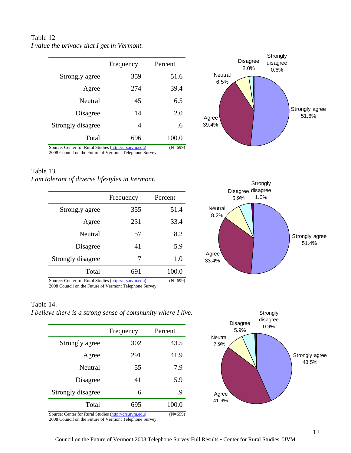# Table 12 *I value the privacy that I get in Vermont.*

|                                                       | Frequency | Percent   |
|-------------------------------------------------------|-----------|-----------|
| Strongly agree                                        | 359       | 51.6      |
| Agree                                                 | 274       | 39.4      |
| Neutral                                               | 45        | 6.5       |
| Disagree                                              | 14        | 2.0       |
| Strongly disagree                                     | 4         | .6        |
| Total                                                 | 696       | 100.0     |
| Source: Center for Rural Studies (http://crs.uvm.edu) |           | $(N=699)$ |



2008 Council on the Future of Vermont Telephone Survey

#### Table 13

*I am tolerant of diverse lifestyles in Vermont.*

|                   | Frequency | Percent           |
|-------------------|-----------|-------------------|
| Strongly agree    | 355       | 51.4              |
| Agree             | 231       | 33.4              |
| Neutral           | 57        | 8.2               |
| Disagree          | 41        | 5.9               |
| Strongly disagree | 7         | 1.0               |
| Total             | 691       | 100.0             |
|                   |           | $(11 - \epsilon)$ |



#### Table 14.

*I believe there is a strong sense of community where I live.*

|                                                       | Frequency | Percent          |
|-------------------------------------------------------|-----------|------------------|
| Strongly agree                                        | 302       | 43.5             |
| Agree                                                 | 291       | 41.9             |
| Neutral                                               | 55        | 7.9              |
| Disagree                                              | 41        | 5.9              |
| Strongly disagree                                     | 6         | .9               |
| Total                                                 | 695       | 100.0            |
| Course: Contar for Dural Studies (http://grs.urm.odu) |           | $(M-\epsilon 0)$ |

Source: Center for Rural Studies (http://crs.uvm.edu) (N=699) 2008 Council on the Future of Vermont Telephone Survey



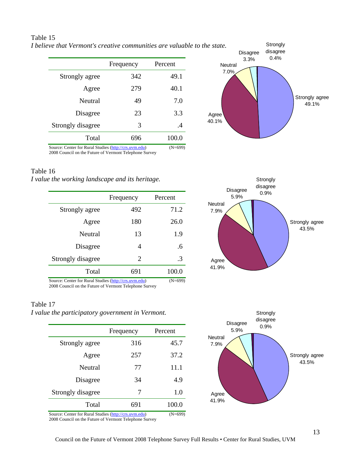|                   | Frequency | Percent |
|-------------------|-----------|---------|
| Strongly agree    | 342       | 49.1    |
| Agree             | 279       | 40.1    |
| Neutral           | 49        | 7.0     |
| Disagree          | 23        | 3.3     |
| Strongly disagree | 3         | .4      |

Total 696 100.0

Disagree 3.3% **Strongly** disagree **Neutral** 7.0% *I believe that Vermont's creative communities are valuable to the state.*

Strongly agree 49.1% Agree 40.1% 0.4%

Source: Center for Rural Studies (http://crs.uvm.edu) (N=699) 2008 Council on the Future of Vermont Telephone Survey

#### Table 16

Table 15

*I value the working landscape and its heritage.*

|                   | Frequency      | Percent     |
|-------------------|----------------|-------------|
| Strongly agree    | 492            | 71.2        |
| Agree             | 180            | 26.0        |
| Neutral           | 13             | 1.9         |
| Disagree          | 4              | .6          |
| Strongly disagree | $\overline{2}$ | $\cdot$ 3   |
| Total             | 691            | 100.0       |
|                   |                | $(1)$ $(0)$ |

Source: Center for Rural Studies (http://crs.uvm.edu) (N=699) 2008 Council on the Future of Vermont Telephone Survey

#### Table 17

*I value the participatory government in Vermont.*

|                   | Frequency | Percent     |
|-------------------|-----------|-------------|
| Strongly agree    | 316       | 45.7        |
| Agree             | 257       | 37.2        |
| Neutral           | 77        | 11.1        |
| Disagree          | 34        | 4.9         |
| Strongly disagree | 7         | 1.0         |
| Total             | 691       | 100.0       |
|                   |           | $(1)$ $(0)$ |

Source: Center for Rural Studies (http://crs.uvm.edu) (N=699) 2008 Council on the Future of Vermont Telephone Survey



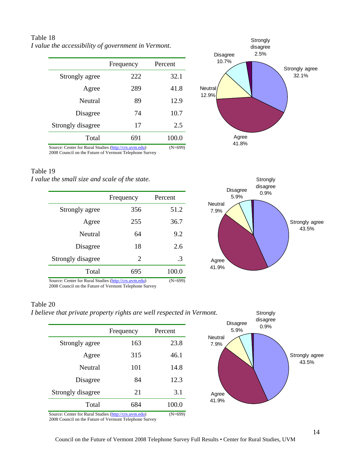Table 18 *I value the accessibility of government in Vermont.*

|                                                       | Frequency | Percent   |
|-------------------------------------------------------|-----------|-----------|
| Strongly agree                                        | 222       | 32.1      |
| Agree                                                 | 289       | 41.8      |
| Neutral                                               | 89        | 12.9      |
| Disagree                                              | 74        | 10.7      |
| Strongly disagree                                     | 17        | 2.5       |
| Total                                                 | 691       | 100.0     |
| Source: Center for Rural Studies (http://crs.uvm.edu) |           | $(N=699)$ |



2008 Council on the Future of Vermont Telephone Survey

#### Table 19

*I value the small size and scale of the state.*

|                   | Frequency | Percent   |
|-------------------|-----------|-----------|
| Strongly agree    | 356       | 51.2      |
| Agree             | 255       | 36.7      |
| Neutral           | 64        | 9.2       |
| Disagree          | 18        | 2.6       |
| Strongly disagree | 2         | $\cdot$ 3 |
| Total             | 695       | 100.0     |
|                   |           |           |



Source: Center for Rural Studies (http://crs.uvm.edu) (N=699) 2008 Council on the Future of Vermont Telephone Survey

#### Table 20

*I believe that private property rights are well respected in Vermont.*

|                                                       | Frequency | Percent   |
|-------------------------------------------------------|-----------|-----------|
| Strongly agree                                        | 163       | 23.8      |
| Agree                                                 | 315       | 46.1      |
| Neutral                                               | 101       | 14.8      |
| Disagree                                              | 84        | 12.3      |
| Strongly disagree                                     | 21        | 3.1       |
| Total                                                 | 684       | 100.0     |
| Source: Center for Rural Studies (http://crs.uvm.edu) |           | $(N=699)$ |



**Strongly** disagree

2008 Council on the Future of Vermont Telephone Survey



Disagree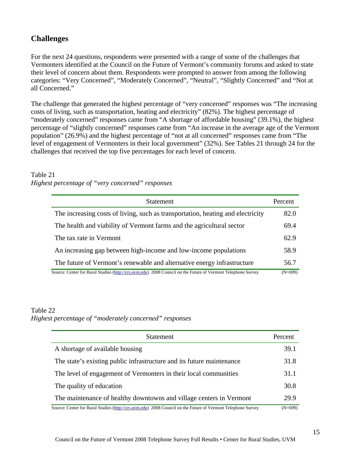# **Challenges**

For the next 24 questions, respondents were presented with a range of some of the challenges that Vermonters identified at the Council on the Future of Vermont's community forums and asked to state their level of concern about them. Respondents were prompted to answer from among the following categories: "Very Concerned", "Moderately Concerned", "Neutral", "Slightly Concerned" and "Not at all Concerned."

The challenge that generated the highest percentage of "very concerned" responses was "The increasing costs of living, such as transportation, heating and electricity" (82%). The highest percentage of "moderately concerned" responses came from "A shortage of affordable housing" (39.1%), the highest percentage of "slightly concerned" responses came from "An increase in the average age of the Vermont population" (26.9%) and the highest percentage of "not at all concerned" responses came from "The level of engagement of Vermonters in their local government" (32%). See Tables 21 through 24 for the challenges that received the top five percentages for each level of concern.

#### Table 21 *Highest percentage of "very concerned" responses*

| <b>Statement</b>                                                                                             |           |
|--------------------------------------------------------------------------------------------------------------|-----------|
| The increasing costs of living, such as transportation, heating and electricity                              | 82.0      |
| The health and viability of Vermont farms and the agricultural sector                                        | 69.4      |
| The tax rate in Vermont                                                                                      | 62.9      |
| An increasing gap between high-income and low-income populations                                             | 58.9      |
| The future of Vermont's renewable and alternative energy infrastructure                                      | 56.7      |
| Source: Center for Rural Studies (http://crs.uvm.edu) 2008 Council on the Future of Vermont Telephone Survey | $(N=699)$ |

#### Table 22

*Highest percentage of "moderately concerned" responses* 

| <b>Statement</b>                                                                                             | Percent   |
|--------------------------------------------------------------------------------------------------------------|-----------|
| A shortage of available housing                                                                              | 39.1      |
| The state's existing public infrastructure and its future maintenance                                        | 31.8      |
| The level of engagement of Vermonters in their local communities                                             | 31.1      |
| The quality of education                                                                                     | 30.8      |
| The maintenance of healthy downtowns and village centers in Vermont                                          | 29.9      |
| Source: Center for Rural Studies (http://crs.uvm.edu) 2008 Council on the Future of Vermont Telephone Survey | $(N=699)$ |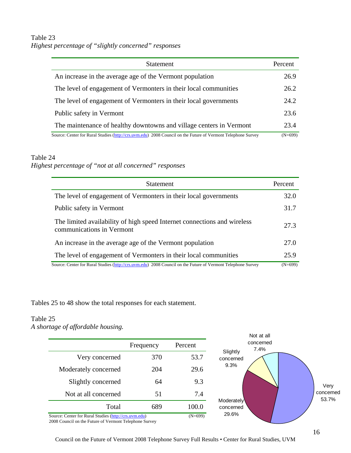# Table 23 *Highest percentage of "slightly concerned" responses*

| <b>Statement</b>                                                                                             | Percent   |
|--------------------------------------------------------------------------------------------------------------|-----------|
| An increase in the average age of the Vermont population                                                     | 26.9      |
| The level of engagement of Vermonters in their local communities                                             | 26.2      |
| The level of engagement of Vermonters in their local governments                                             | 24.2      |
| Public safety in Vermont                                                                                     | 23.6      |
| The maintenance of healthy downtowns and village centers in Vermont                                          | 23.4      |
| Source: Center for Rural Studies (http://crs.uvm.edu) 2008 Council on the Future of Vermont Telephone Survey | $(N=699)$ |

#### Table 24

# *Highest percentage of "not at all concerned" responses*

| <b>Statement</b>                                                                                             | Percent   |
|--------------------------------------------------------------------------------------------------------------|-----------|
| The level of engagement of Vermonters in their local governments                                             | 32.0      |
| Public safety in Vermont                                                                                     | 31.7      |
| The limited availability of high speed Internet connections and wireless<br>communications in Vermont        | 27.3      |
| An increase in the average age of the Vermont population                                                     | 27.0      |
| The level of engagement of Vermonters in their local communities                                             | 25.9      |
| Source: Center for Rural Studies (http://crs.uvm.edu) 2008 Council on the Future of Vermont Telephone Survey | $(N=699)$ |

Tables 25 to 48 show the total responses for each statement.

# Table 25

*A shortage of affordable housing.*

|                                                                                                                 |           |           | Not at all              |
|-----------------------------------------------------------------------------------------------------------------|-----------|-----------|-------------------------|
|                                                                                                                 | Frequency | Percent   | concerned<br>7.4%       |
| Very concerned                                                                                                  | 370       | 53.7      | Slightly<br>concerned   |
| Moderately concerned                                                                                            | 204       | 29.6      | 9.3%                    |
| Slightly concerned                                                                                              | 64        | 9.3       | Very                    |
| Not at all concerned                                                                                            | 51        | 7.4       | concerned<br>53.7%      |
| Total                                                                                                           | 689       | 100.0     | Moderately<br>concerned |
| Source: Center for Rural Studies (http://crs.uvm.edu)<br>2008 Council on the Euture of Vermont Telephone Survey |           | $(N=699)$ | 29.6%                   |

2008 Council on the Future of Vermont Telephone Survey

Council on the Future of Vermont 2008 Telephone Survey Full Results • Center for Rural Studies, UVM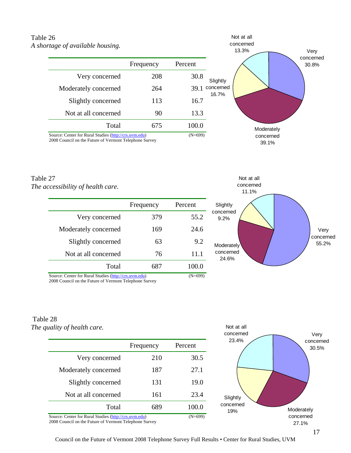# Table 26 *A shortage of available housing.*

|                                                       | Frequency | Percent   |                    |
|-------------------------------------------------------|-----------|-----------|--------------------|
| Very concerned                                        | 208       | 30.8      | Slightly           |
| Moderately concerned                                  | 264       | 39.1      | concerned<br>16.7% |
| Slightly concerned                                    | 113       | 16.7      |                    |
| Not at all concerned                                  | 90        | 13.3      |                    |
| Total                                                 | 675       | 100.0     |                    |
| Source: Center for Rural Studies (http://crs.uvm.edu) |           | $(N=699)$ |                    |

2008 Council on the Future of Vermont Telephone Survey

#### Table 27 *The accessibility of health care.*

|                                                                                                                                                                                                                                                                                                                                                                                                                       | Frequency | Percent     |
|-----------------------------------------------------------------------------------------------------------------------------------------------------------------------------------------------------------------------------------------------------------------------------------------------------------------------------------------------------------------------------------------------------------------------|-----------|-------------|
| Very concerned                                                                                                                                                                                                                                                                                                                                                                                                        | 379       | 55.2        |
| Moderately concerned                                                                                                                                                                                                                                                                                                                                                                                                  | 169       | 24.6        |
| Slightly concerned                                                                                                                                                                                                                                                                                                                                                                                                    | 63        | 9.2         |
| Not at all concerned                                                                                                                                                                                                                                                                                                                                                                                                  | 76        | 11.1        |
| Total                                                                                                                                                                                                                                                                                                                                                                                                                 | 687       | 100.0       |
| $P_{\text{c}} = P_{\text{c}} P_{\text{c}} = P_{\text{c}} P_{\text{c}} P_{\text{c}}$ , $P_{\text{c}} = P_{\text{c}} P_{\text{c}} P_{\text{c}} P_{\text{c}} P_{\text{c}} P_{\text{c}} P_{\text{c}} P_{\text{c}} P_{\text{c}} P_{\text{c}} P_{\text{c}} P_{\text{c}} P_{\text{c}} P_{\text{c}} P_{\text{c}} P_{\text{c}} P_{\text{c}} P_{\text{c}} P_{\text{c}} P_{\text{c}} P_{\text{c}} P_{\text{c}} P_{\text{c}} P_{$ |           | $(1)$ $(0)$ |

Very concerned Moderately 65.2% concerned 24.6% Not at all concerned 11.1% **Slightly** concerned 9.2%

Moderately concerned 39.1%

Very concerned 30.8%

Not at all concerned 13.3%

Source: Center for Rural Studies (http://crs.uvm.edu) (N=699)

2008 Council on the Future of Vermont Telephone Survey

#### Table 28 *The quality of health care.*

|                                                       | Frequency | Percent |
|-------------------------------------------------------|-----------|---------|
| Very concerned                                        | 210       | 30.5    |
| Moderately concerned                                  | 187       | 27.1    |
| Slightly concerned                                    | 131       | 19.0    |
| Not at all concerned                                  | 161       | 23.4    |
| Total                                                 | 689       | 100.0   |
| Source: Center for Rural Studies (http://crs.uvm.edu) |           | (N=699) |

2008 Council on the Future of Vermont Telephone Survey



Council on the Future of Vermont 2008 Telephone Survey Full Results • Center for Rural Studies, UVM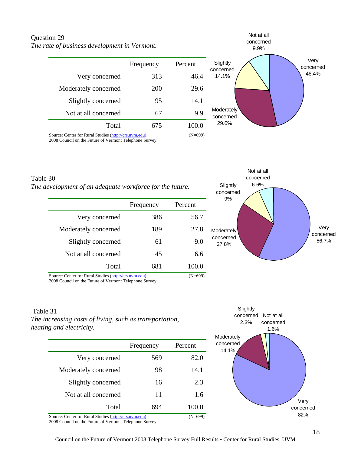# Question 29 *The rate of business development in Vermont.*

| Frequency | Percent | Sligh<br>conce |
|-----------|---------|----------------|
| 313       | 46.4    | 14.1           |
| 200       | 29.6    |                |
| 95        | 14.1    |                |
| 67        | 9.9     | Mode<br>conc   |
| 675       | 100.0   | 29.            |
|           |         |                |



Source: Center for Rural Studies (http://crs.uvm.edu) (N=699) 2008 Council on the Future of Vermont Telephone Survey

| Table 30                                                 |
|----------------------------------------------------------|
| The development of an adequate workforce for the future. |

|                                                       | Frequency | Percent |
|-------------------------------------------------------|-----------|---------|
| Very concerned                                        | 386       | 56.7    |
| Moderately concerned                                  | 189       | 27.8    |
| Slightly concerned                                    | 61        | 9.0     |
| Not at all concerned                                  | 45        | 6.6     |
| Total                                                 | 681       | 100.0   |
| Source: Center for Rural Studies (http://crs.uvm.edu) |           | (N=699) |



2008 Council on the Future of Vermont Telephone Survey

#### Table 31

*The increasing costs of living, such as transportation, heating and electricity.*

|                                                       | Frequency | Percent   |
|-------------------------------------------------------|-----------|-----------|
| Very concerned                                        | 569       | 82.0      |
| Moderately concerned                                  | 98        | 14.1      |
| Slightly concerned                                    | 16        | 2.3       |
| Not at all concerned                                  | 11        | 1.6       |
| Total                                                 | 694       | 100.0     |
| Source: Center for Rural Studies (http://crs.uvm.edu) |           | $(N=699)$ |

2008 Council on the Future of Vermont Telephone Survey

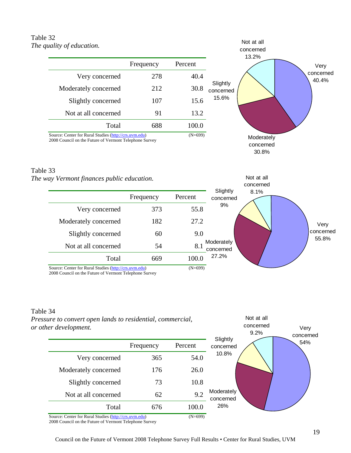## Table 32 *The quality of education.*

|                                                                                                                 | Frequency | Percent   |                       |
|-----------------------------------------------------------------------------------------------------------------|-----------|-----------|-----------------------|
| Very concerned                                                                                                  | 278       | 40.4      |                       |
| Moderately concerned                                                                                            | 212       | 30.8      | Slightly<br>concerned |
| Slightly concerned                                                                                              | 107       | 15.6      | 15.6%                 |
| Not at all concerned                                                                                            | 91        | 13.2      |                       |
| Total                                                                                                           | 688       | 100.0     |                       |
| Source: Center for Rural Studies (http://crs.uvm.edu)<br>2008 Council on the Future of Vermont Telephone Survey |           | $(N=699)$ |                       |



Not at all

Not at all concerned

#### Table 33

#### *The way Vermont finances public education.*



2008 Council on the Future of Vermont Telephone Survey

#### Table 34

*Pressure to convert open lands to residential, commercial, or other development.*

| $\sim$ . we , evep                                    |           |           | 9.2%<br>Slightly        | ,,,,<br>concerned |
|-------------------------------------------------------|-----------|-----------|-------------------------|-------------------|
|                                                       | Frequency | Percent   | concerned               | 54%               |
| Very concerned                                        | 365       | 54.0      | 10.8%                   |                   |
| Moderately concerned                                  | 176       | 26.0      |                         |                   |
| Slightly concerned                                    | 73        | 10.8      |                         |                   |
| Not at all concerned                                  | 62        | 9.2       | Moderately<br>concerned |                   |
| Total                                                 | 676       | 100.0     | 26%                     |                   |
| Source: Center for Rural Studies (http://crs.uvm.edu) |           | $(N=699)$ |                         |                   |

2008 Council on the Future of Vermont Telephone Survey



Very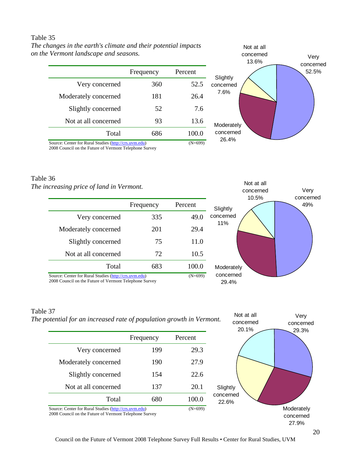#### Table 35

*The changes in the earth's climate and their potential impacts on the Vermont landscape and seasons.*

| S  | Percent | Frequency |                      |
|----|---------|-----------|----------------------|
| CO | 52.5    | 360       | Very concerned       |
|    | 26.4    | 181       | Moderately concerned |
|    | 7.6     | 52        | Slightly concerned   |
| м  | 13.6    | 93        | Not at all concerned |
| C  | 100.0   | 686       | Total                |



Not at all

Source: Center for Rural Studies (http://crs.uvm.edu) (N=699)

2008 Council on the Future of Vermont Telephone Survey

## Table 36

*The increasing price of land in Vermont.* 

| итеазиід ргисе орита ін уетнони.                                                                                |           |           |                    | Very<br>concerned         |  |
|-----------------------------------------------------------------------------------------------------------------|-----------|-----------|--------------------|---------------------------|--|
|                                                                                                                 | Frequency | Percent   | Slightly           | 10.5%<br>concerned<br>49% |  |
| Very concerned                                                                                                  | 335       | 49.0      | concerned          |                           |  |
| Moderately concerned                                                                                            | 201       | 29.4      | 11%                |                           |  |
| Slightly concerned                                                                                              | 75        | 11.0      |                    |                           |  |
| Not at all concerned                                                                                            | 72        | 10.5      |                    |                           |  |
| Total                                                                                                           | 683       | 100.0     | Moderately         |                           |  |
| Source: Center for Rural Studies (http://crs.uvm.edu)<br>2008 Council on the Future of Vermont Telephone Survey |           | $(N=699)$ | concerned<br>29.4% |                           |  |

#### Table 37

*The potential for an increased rate of population growth in Vermont.* 

|                                                       | Frequency | Percent   |
|-------------------------------------------------------|-----------|-----------|
| Very concerned                                        | 199       | 29.3      |
| Moderately concerned                                  | 190       | 27.9      |
| Slightly concerned                                    | 154       | 22.6      |
| Not at all concerned                                  | 137       | 20.1      |
| Total                                                 | 680       | 100.0     |
| Source: Center for Rural Studies (http://crs.uvm.edu) |           | $(N=699)$ |



2008 Council on the Future of Vermont Telephone Survey

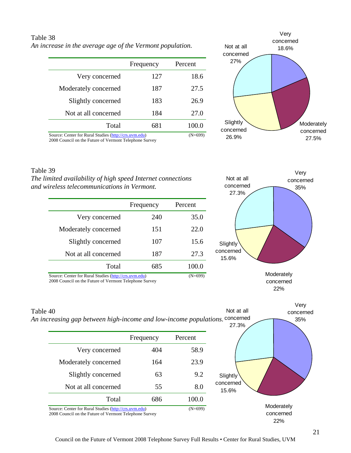## Table 38 *An increase in the average age of the Vermont population.*

|                                                       | Frequency | Percent   |
|-------------------------------------------------------|-----------|-----------|
| Very concerned                                        | 127       | 18.6      |
| Moderately concerned                                  | 187       | 27.5      |
| Slightly concerned                                    | 183       | 26.9      |
| Not at all concerned                                  | 184       | 27.0      |
| Total                                                 | 681       | 100.0     |
| Source: Center for Rural Studies (http://crs.uvm.edu) |           | $(N=699)$ |



2008 Council on the Future of Vermont Telephone Survey

#### Table 39

*The limited availability of high speed Internet connections and wireless telecommunications in Vermont.*

|                                                       | Frequency | Percent   |
|-------------------------------------------------------|-----------|-----------|
| Very concerned                                        | 240       | 35.0      |
| Moderately concerned                                  | 151       | 22.0      |
| Slightly concerned                                    | 107       | 15.6      |
| Not at all concerned                                  | 187       | 27.3      |
| Total                                                 | 685       | 100.0     |
| Source: Center for Rural Studies (http://crs.uvm.edu) |           | $(N=699)$ |

2008 Council on the Future of Vermont Telephone Survey



22%

Very concerned 35% **Moderately** concerned Not at all An increasing gap between high-income and low-income populations. <sup>concerned</sup> 27.3% **Slightly** concerned 15.6% Table 40 Frequency Percent Very concerned  $404$  58.9 Moderately concerned 164 23.9 Slightly concerned 63 9.2 Not at all concerned 55 8.0 Total 686 100.0 Source: Center for Rural Studies (http://crs.uvm.edu) (N=699) 2008 Council on the Future of Vermont Telephone Survey

22%

#### 21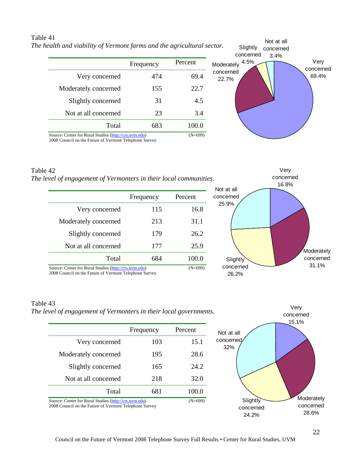|                                                       | Frequency | Percent   |
|-------------------------------------------------------|-----------|-----------|
| Very concerned                                        | 474       | 69.4      |
| Moderately concerned                                  | 155       | 22.7      |
| Slightly concerned                                    | 31        | 4.5       |
| Not at all concerned                                  | 23        | 3.4       |
| Total                                                 | 683       | 100.0     |
| Source: Center for Rural Studies (http://crs.uvm.edu) |           | $(N=699)$ |



2008 Council on the Future of Vermont Telephone Survey

Table 41



2008 Council on the Future of Vermont Telephone Survey





#### Table 43 *The level of engagement of Vermonters in their local governments.*

|                                                                                                                 | Frequency | Percent |
|-----------------------------------------------------------------------------------------------------------------|-----------|---------|
| Very concerned                                                                                                  | 103       | 15.1    |
| Moderately concerned                                                                                            | 195       | 28.6    |
| Slightly concerned                                                                                              | 165       | 24.2    |
| Not at all concerned                                                                                            | 218       | 32.0    |
| Total                                                                                                           | 681       | 100.0   |
| Source: Center for Rural Studies (http://crs.uvm.edu)<br>2008 Council on the Future of Vermont Telephone Survey | $(N=699)$ |         |

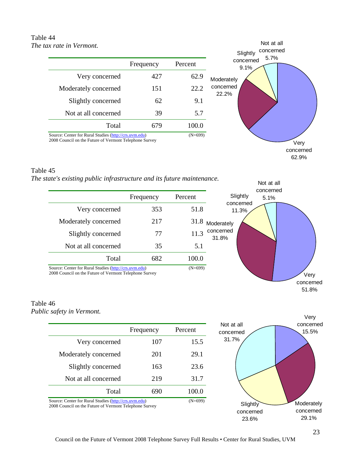#### Table 44 *The tax rate in Vermont.*

|                                                                                                                 |           |           | concerned<br>Slightly     |
|-----------------------------------------------------------------------------------------------------------------|-----------|-----------|---------------------------|
|                                                                                                                 | Frequency | Percent   | 5.7%<br>concerned<br>9.1% |
| Very concerned                                                                                                  | 427       | 62.9      | Moderately                |
| Moderately concerned                                                                                            | 151       | 22.2      | concerned<br>22.2%        |
| Slightly concerned                                                                                              | 62        | 9.1       |                           |
| Not at all concerned                                                                                            | 39        | 5.7       |                           |
| Total                                                                                                           | 679       | 100.0     |                           |
| Source: Center for Rural Studies (http://crs.uvm.edu)<br>2008 Council on the Future of Vermont Telephone Survey |           | $(N=699)$ | Very                      |

Table 45

*The state's existing public infrastructure and its future maintenance.*

|                                                                                                                 | Frequency | Percent   | Slightly           |
|-----------------------------------------------------------------------------------------------------------------|-----------|-----------|--------------------|
| Very concerned                                                                                                  | 353       | 51.8      | concerned<br>11.3% |
| Moderately concerned                                                                                            | 217       | 31.8      | Moderately         |
| Slightly concerned                                                                                              | 77        | 11.3      | concerned<br>31.8% |
| Not at all concerned                                                                                            | 35        | 5.1       |                    |
| Total                                                                                                           | 682       | 100.0     |                    |
| Source: Center for Rural Studies (http://crs.uvm.edu)<br>2008 Council on the Euture of Vermont Telephone Survey |           | $(N=699)$ |                    |

2008 Council on the Future of Vermont Telephone Survey

#### Table 46 *Public safety in Vermont.*

|                                                       | Frequency | Percent |
|-------------------------------------------------------|-----------|---------|
| Very concerned                                        | 107       | 15.5    |
| Moderately concerned                                  | 201       | 29.1    |
| Slightly concerned                                    | 163       | 23.6    |
| Not at all concerned                                  | 219       | 31.7    |
| Total                                                 | 690       | 100.0   |
| Source: Center for Rural Studies (http://crs.uvm.edu) | $(N=699)$ |         |

2008 Council on the Future of Vermont Telephone Survey



concerned 62.9%

> Very concerned 51.8%

Not at all

Not at all concerned 5.1%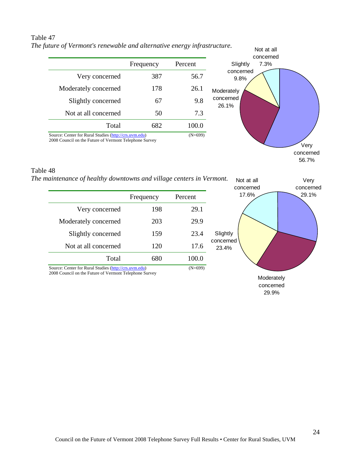#### Table 47 *The future of Vermont's renewable and alternative energy infrastructure.*

|                                                                                                                 | Frequency | Percent   | 7.3%<br>Slightly   |
|-----------------------------------------------------------------------------------------------------------------|-----------|-----------|--------------------|
| Very concerned                                                                                                  | 387       | 56.7      | concerned<br>9.8%  |
| Moderately concerned                                                                                            | 178       | 26.1      | Moderately         |
| Slightly concerned                                                                                              | 67        | 9.8       | concerned<br>26.1% |
| Not at all concerned                                                                                            | 50        | 7.3       |                    |
| Total                                                                                                           | 682       | 100.0     |                    |
| Source: Center for Rural Studies (http://crs.uvm.edu)<br>2008 Council on the Future of Vermont Telephone Survey |           | $(N=699)$ |                    |

#### Table 48

*The maintenance of healthy downtowns and village centers in Vermont.*

|                                                       | Frequency | Percent   |    |
|-------------------------------------------------------|-----------|-----------|----|
| Very concerned                                        | 198       | 29.1      |    |
| Moderately concerned                                  | 203       | 29.9      |    |
| Slightly concerned                                    | 159       | 23.4      | ξ  |
| Not at all concerned                                  | 120       | 17.6      | CO |
| Total                                                 | 680       | 100.0     |    |
| Source: Center for Rural Studies (http://crs.uvm.edu) |           | $(N=699)$ |    |

2008 Council on the Future of Vermont Telephone Survey



concerned 56.7%

29.9%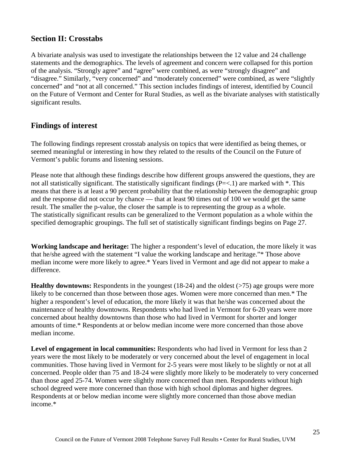# **Section II: Crosstabs**

A bivariate analysis was used to investigate the relationships between the 12 value and 24 challenge statements and the demographics. The levels of agreement and concern were collapsed for this portion of the analysis. "Strongly agree" and "agree" were combined, as were "strongly disagree" and "disagree." Similarly, "very concerned" and "moderately concerned" were combined, as were "slightly concerned" and "not at all concerned." This section includes findings of interest, identified by Council on the Future of Vermont and Center for Rural Studies, as well as the bivariate analyses with statistically significant results.

# **Findings of interest**

The following findings represent crosstab analysis on topics that were identified as being themes, or seemed meaningful or interesting in how they related to the results of the Council on the Future of Vermont's public forums and listening sessions.

Please note that although these findings describe how different groups answered the questions, they are not all statistically significant. The statistically significant findings ( $P = < 1$ ) are marked with  $*$ . This means that there is at least a 90 percent probability that the relationship between the demographic group and the response did not occur by chance — that at least 90 times out of 100 we would get the same result. The smaller the p-value, the closer the sample is to representing the group as a whole. The statistically significant results can be generalized to the Vermont population as a whole within the specified demographic groupings. The full set of statistically significant findings begins on Page 27.

**Working landscape and heritage:** The higher a respondent's level of education, the more likely it was that he/she agreed with the statement "I value the working landscape and heritage."\* Those above median income were more likely to agree.\* Years lived in Vermont and age did not appear to make a difference.

**Healthy downtowns:** Respondents in the youngest (18-24) and the oldest (>75) age groups were more likely to be concerned than those between those ages. Women were more concerned than men.\* The higher a respondent's level of education, the more likely it was that he/she was concerned about the maintenance of healthy downtowns. Respondents who had lived in Vermont for 6-20 years were more concerned about healthy downtowns than those who had lived in Vermont for shorter and longer amounts of time.\* Respondents at or below median income were more concerned than those above median income.

**Level of engagement in local communities:** Respondents who had lived in Vermont for less than 2 years were the most likely to be moderately or very concerned about the level of engagement in local communities. Those having lived in Vermont for 2-5 years were most likely to be slightly or not at all concerned. People older than 75 and 18-24 were slightly more likely to be moderately to very concerned than those aged 25-74. Women were slightly more concerned than men. Respondents without high school degreed were more concerned than those with high school diplomas and higher degrees. Respondents at or below median income were slightly more concerned than those above median income.\*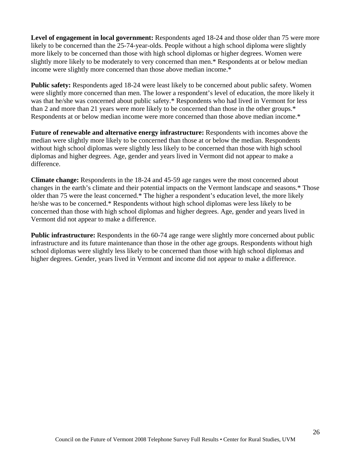Level of engagement in local government: Respondents aged 18-24 and those older than 75 were more likely to be concerned than the 25-74-year-olds. People without a high school diploma were slightly more likely to be concerned than those with high school diplomas or higher degrees. Women were slightly more likely to be moderately to very concerned than men.\* Respondents at or below median income were slightly more concerned than those above median income.\*

**Public safety:** Respondents aged 18-24 were least likely to be concerned about public safety. Women were slightly more concerned than men. The lower a respondent's level of education, the more likely it was that he/she was concerned about public safety.\* Respondents who had lived in Vermont for less than 2 and more than 21 years were more likely to be concerned than those in the other groups.\* Respondents at or below median income were more concerned than those above median income.\*

**Future of renewable and alternative energy infrastructure:** Respondents with incomes above the median were slightly more likely to be concerned than those at or below the median. Respondents without high school diplomas were slightly less likely to be concerned than those with high school diplomas and higher degrees. Age, gender and years lived in Vermont did not appear to make a difference.

**Climate change:** Respondents in the 18-24 and 45-59 age ranges were the most concerned about changes in the earth's climate and their potential impacts on the Vermont landscape and seasons.\* Those older than 75 were the least concerned.\* The higher a respondent's education level, the more likely he/she was to be concerned.\* Respondents without high school diplomas were less likely to be concerned than those with high school diplomas and higher degrees. Age, gender and years lived in Vermont did not appear to make a difference.

**Public infrastructure:** Respondents in the 60-74 age range were slightly more concerned about public infrastructure and its future maintenance than those in the other age groups. Respondents without high school diplomas were slightly less likely to be concerned than those with high school diplomas and higher degrees. Gender, years lived in Vermont and income did not appear to make a difference.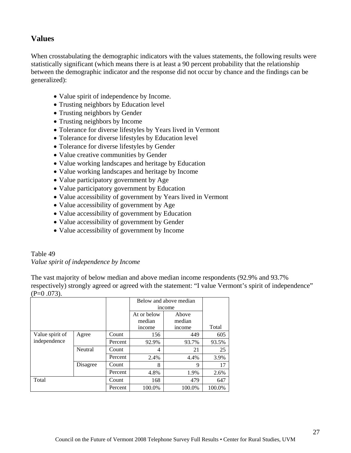# **Values**

When crosstabulating the demographic indicators with the values statements, the following results were statistically significant (which means there is at least a 90 percent probability that the relationship between the demographic indicator and the response did not occur by chance and the findings can be generalized):

- Value spirit of independence by Income.
- Trusting neighbors by Education level
- Trusting neighbors by Gender
- Trusting neighbors by Income
- Tolerance for diverse lifestyles by Years lived in Vermont
- Tolerance for diverse lifestyles by Education level
- Tolerance for diverse lifestyles by Gender
- Value creative communities by Gender
- Value working landscapes and heritage by Education
- Value working landscapes and heritage by Income
- Value participatory government by Age
- Value participatory government by Education
- Value accessibility of government by Years lived in Vermont
- Value accessibility of government by Age
- Value accessibility of government by Education
- Value accessibility of government by Gender
- Value accessibility of government by Income

#### Table 49 *Value spirit of independence by Income*

The vast majority of below median and above median income respondents (92.9% and 93.7% respectively) strongly agreed or agreed with the statement: "I value Vermont's spirit of independence"  $(P=0.073)$ .

|                 |          |         |             | Below and above median |        |
|-----------------|----------|---------|-------------|------------------------|--------|
|                 |          |         | income      |                        |        |
|                 |          |         | At or below | Above                  |        |
|                 |          |         | median      | median                 |        |
|                 |          |         | income      | income                 | Total  |
| Value spirit of | Agree    | Count   | 156         | 449                    | 605    |
| independence    |          | Percent | 92.9%       | 93.7%                  | 93.5%  |
|                 | Neutral  | Count   | 4           | 21                     | 25     |
|                 |          | Percent | 2.4%        | 4.4%                   | 3.9%   |
|                 | Disagree | Count   | 8           | 9                      | 17     |
|                 |          | Percent | 4.8%        | 1.9%                   | 2.6%   |
| Total           |          | Count   | 168         | 479                    | 647    |
|                 |          | Percent | 100.0%      | 100.0%                 | 100.0% |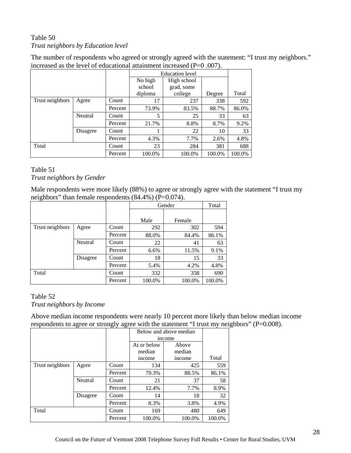# Table 50 *Trust neighbors by Education level*

The number of respondents who agreed or strongly agreed with the statement: "I trust my neighbors." increased as the level of educational attainment increased (P=0 .007).

|                 |          |         |         | <b>Education</b> level |        |        |  |
|-----------------|----------|---------|---------|------------------------|--------|--------|--|
|                 |          |         | No high | High school            |        |        |  |
|                 |          |         | school  | grad, some             |        |        |  |
|                 |          |         | diploma | college                | Degree | Total  |  |
| Trust neighbors | Agree    | Count   | 17      | 237                    | 338    | 592    |  |
|                 |          | Percent | 73.9%   | 83.5%                  | 88.7%  | 86.0%  |  |
|                 | Neutral  | Count   | 5       | 25                     | 33     | 63     |  |
|                 |          | Percent | 21.7%   | 8.8%                   | 8.7%   | 9.2%   |  |
|                 | Disagree | Count   |         | 22                     | 10     | 33     |  |
|                 |          | Percent | 4.3%    | 7.7%                   | 2.6%   | 4.8%   |  |
| Total           |          | Count   | 23      | 284                    | 381    | 688    |  |
|                 |          | Percent | 100.0%  | 100.0%                 | 100.0% | 100.0% |  |

#### Table 51 *Trust neighbors by Gender*

Male respondents were more likely (88%) to agree or strongly agree with the statement "I trust my neighbors" than female respondents  $(84.4\%)$  (P=0.074).

|                 |          |         |        | Gender | Total  |
|-----------------|----------|---------|--------|--------|--------|
|                 |          |         |        |        |        |
|                 |          |         | Male   | Female |        |
| Trust neighbors | Agree    | Count   | 292    | 302    | 594    |
|                 |          | Percent | 88.0%  | 84.4%  | 86.1%  |
|                 | Neutral  | Count   | 22     | 41     | 63     |
|                 |          | Percent | 6.6%   | 11.5%  | 9.1%   |
|                 | Disagree | Count   | 18     | 15     | 33     |
|                 |          | Percent | 5.4%   | 4.2%   | 4.8%   |
| Total           |          | Count   | 332    | 358    | 690    |
|                 |          | Percent | 100.0% | 100.0% | 100.0% |

### Table 52

*Trust neighbors by Income*

Above median income respondents were nearly 10 percent more likely than below median income respondents to agree or strongly agree with the statement "I trust my neighbors" (P=0.008).

|                 |          |         |             | Below and above median |        |
|-----------------|----------|---------|-------------|------------------------|--------|
|                 |          |         |             | income                 |        |
|                 |          |         | At or below | Above                  |        |
|                 |          |         | median      | median                 |        |
|                 |          |         | income      | income                 | Total  |
| Trust neighbors | Agree    | Count   | 134         | 425                    | 559    |
|                 |          | Percent | 79.3%       | 88.5%                  | 86.1%  |
|                 | Neutral  | Count   | 21          | 37                     | 58     |
|                 |          | Percent | 12.4%       | 7.7%                   | 8.9%   |
|                 | Disagree | Count   | 14          | 18                     | 32     |
|                 |          | Percent | 8.3%        | 3.8%                   | 4.9%   |
| Total           |          | Count   | 169         | 480                    | 649    |
|                 |          | Percent | 100.0%      | 100.0%                 | 100.0% |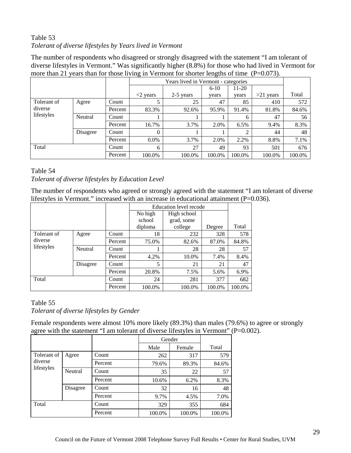# Table 53 *Tolerant of diverse lifestyles by Years lived in Vermont*

The number of respondents who disagreed or strongly disagreed with the statement "I am tolerant of diverse lifestyles in Vermont." Was significantly higher (8.8%) for those who had lived in Vermont for more than 21 years than for those living in Vermont for shorter lengths of time (P=0.073).

|                                      |          |         | Years lived in Vermont - categories |             |        |        |             |        |
|--------------------------------------|----------|---------|-------------------------------------|-------------|--------|--------|-------------|--------|
|                                      |          |         |                                     |             | $6-10$ | 11-20  |             |        |
|                                      |          |         | $\langle 2 \rangle$ years           | $2-5$ years | vears  | vears  | $>21$ years | Total  |
| Tolerant of<br>diverse<br>lifestyles | Agree    | Count   |                                     | 25          | 47     | 85     | 410         | 572    |
|                                      |          | Percent | 83.3%                               | 92.6%       | 95.9%  | 91.4%  | 81.8%       | 84.6%  |
|                                      | Neutral  | Count   |                                     |             |        | 6      | 47          | 56     |
|                                      |          | Percent | 16.7%                               | 3.7%        | 2.0%   | 6.5%   | 9.4%        | 8.3%   |
|                                      | Disagree | Count   | $\theta$                            |             |        | ↑      | 44          | 48     |
|                                      |          | Percent | $0.0\%$                             | 3.7%        | 2.0%   | 2.2%   | 8.8%        | 7.1%   |
| Total                                |          | Count   | 6                                   | 27          | 49     | 93     | 501         | 676    |
|                                      |          | Percent | 100.0%                              | 100.0%      | 100.0% | 100.0% | 100.0%      | 100.0% |

#### Table 54

#### *Tolerant of diverse lifestyles by Education Level*

The number of respondents who agreed or strongly agreed with the statement "I am tolerant of diverse lifestyles in Vermont." increased with an increase in educational attainment  $(P=0.036)$ .

|                                      |          |         | Education level recode |            |        |        |
|--------------------------------------|----------|---------|------------------------|------------|--------|--------|
|                                      |          |         | No high<br>High school |            |        |        |
|                                      |          |         | school                 | grad, some |        |        |
|                                      |          |         | diploma                | college    | Degree | Total  |
| Tolerant of<br>diverse<br>lifestyles | Agree    | Count   | 18                     | 232        | 328    | 578    |
|                                      |          | Percent | 75.0%                  | 82.6%      | 87.0%  | 84.8%  |
|                                      | Neutral  | Count   |                        | 28         | 28     | 57     |
|                                      |          | Percent | 4.2%                   | 10.0%      | 7.4%   | 8.4%   |
|                                      | Disagree | Count   | 5                      | 21         | 21     | 47     |
|                                      |          | Percent | 20.8%                  | 7.5%       | 5.6%   | 6.9%   |
| Total                                |          | Count   | 24                     | 281        | 377    | 682    |
|                                      |          | Percent | 100.0%                 | 100.0%     | 100.0% | 100.0% |

#### Table 55

*Tolerant of diverse lifestyles by Gender*

Female respondents were almost 10% more likely (89.3%) than males (79.6%) to agree or strongly agree with the statement "I am tolerant of diverse lifestyles in Vermont" (P=0.002).

|                       |          |         | Gender |        |        |
|-----------------------|----------|---------|--------|--------|--------|
|                       |          |         | Male   | Female | Total  |
| Tolerant of           | Agree    | Count   | 262    | 317    | 579    |
| diverse<br>lifestyles |          | Percent | 79.6%  | 89.3%  | 84.6%  |
|                       | Neutral  | Count   | 35     | 22     | 57     |
|                       |          | Percent | 10.6%  | 6.2%   | 8.3%   |
|                       | Disagree | Count   | 32     | 16     | 48     |
|                       |          | Percent | 9.7%   | 4.5%   | 7.0%   |
| Total                 |          | Count   | 329    | 355    | 684    |
|                       |          | Percent | 100.0% | 100.0% | 100.0% |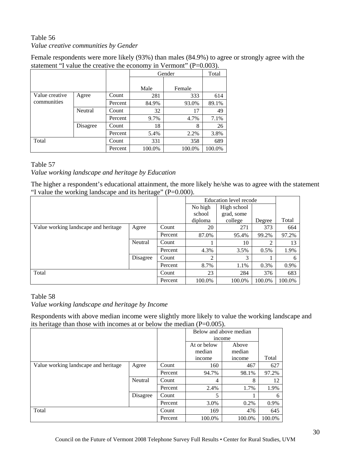# Table 56 *Value creative communities by Gender*

Female respondents were more likely (93%) than males (84.9%) to agree or strongly agree with the statement "I value the creative the economy in Vermont" (P=0.003).

|                               |          |         |        | Gender | Total  |
|-------------------------------|----------|---------|--------|--------|--------|
|                               |          |         | Male   | Female |        |
| Value creative<br>communities | Agree    | Count   | 281    | 333    | 614    |
|                               |          | Percent | 84.9%  | 93.0%  | 89.1%  |
|                               | Neutral  | Count   | 32     | 17     | 49     |
|                               |          | Percent | 9.7%   | 4.7%   | 7.1%   |
|                               | Disagree | Count   | 18     | 8      | 26     |
|                               |          | Percent | 5.4%   | 2.2%   | 3.8%   |
| Total                         |          | Count   | 331    | 358    | 689    |
|                               |          | Percent | 100.0% | 100.0% | 100.0% |

#### Table 57

*Value working landscape and heritage by Education*

The higher a respondent's educational attainment, the more likely he/she was to agree with the statement "I value the working landscape and its heritage" (P=0.000).

|                                      |          |         |                | Education level recode |         |        |
|--------------------------------------|----------|---------|----------------|------------------------|---------|--------|
|                                      |          |         | No high        | High school            |         |        |
|                                      |          |         | school         | grad, some             |         |        |
|                                      |          |         | diploma        | college                | Degree  | Total  |
| Value working landscape and heritage | Agree    | Count   | 20             | 271                    | 373     | 664    |
|                                      |          | Percent | 87.0%          | 95.4%                  | 99.2%   | 97.2%  |
|                                      | Neutral  | Count   |                | 10                     | 2       | 13     |
|                                      |          | Percent | 4.3%           | 3.5%                   | 0.5%    | 1.9%   |
|                                      | Disagree | Count   | $\overline{c}$ | 3                      |         | 6      |
|                                      |          | Percent | 8.7%           | 1.1%                   | $0.3\%$ | 0.9%   |
| Total                                |          | Count   | 23             | 284                    | 376     | 683    |
|                                      |          | Percent | 100.0%         | 100.0%                 | 100.0%  | 100.0% |

#### Table 58

*Value working landscape and heritage by Income*

Respondents with above median income were slightly more likely to value the working landscape and its heritage than those with incomes at or below the median (P=0.005).

|                                      |          |         |             | Below and above median |        |
|--------------------------------------|----------|---------|-------------|------------------------|--------|
|                                      |          |         |             | income                 |        |
|                                      |          |         | At or below | Above                  |        |
|                                      |          |         | median      | median                 |        |
|                                      |          |         | income      | income                 | Total  |
| Value working landscape and heritage | Agree    | Count   | 160         | 467                    | 627    |
|                                      |          | Percent | 94.7%       | 98.1%                  | 97.2%  |
|                                      | Neutral  | Count   | 4           | 8                      | 12     |
|                                      |          | Percent | 2.4%        | 1.7%                   | 1.9%   |
|                                      | Disagree | Count   | 5           |                        | 6      |
|                                      |          | Percent | 3.0%        | 0.2%                   | 0.9%   |
| Total                                |          | Count   | 169         | 476                    | 645    |
|                                      |          | Percent | 100.0%      | 100.0%                 | 100.0% |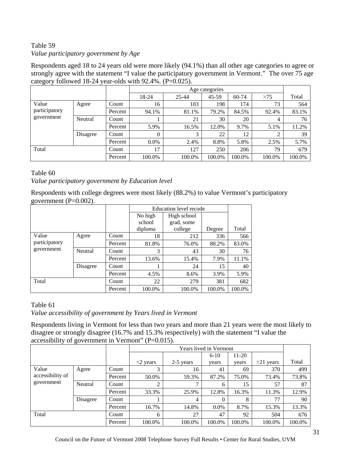## Table 59 *Value participatory government by Age*

Respondents aged 18 to 24 years old were more likely (94.1%) than all other age categories to agree or strongly agree with the statement "I value the participatory government in Vermont." The over 75 age category followed 18-24 year-olds with 92.4%. (P=0.025).

|                                      |          |         |          |        | Age categories |           |        |        |
|--------------------------------------|----------|---------|----------|--------|----------------|-----------|--------|--------|
|                                      |          |         | 18-24    | 25-44  | $45-59$        | $60 - 74$ | >75    | Total  |
| Value<br>participatory<br>government | Agree    | Count   | 16       | 103    | 198            | 174       | 73     | 564    |
|                                      |          | Percent | 94.1%    | 81.1%  | 79.2%          | 84.5%     | 92.4%  | 83.1%  |
|                                      | Neutral  | Count   |          | 21     | 30             | 20        | 4      | 76     |
|                                      |          | Percent | 5.9%     | 16.5%  | 12.0%          | 9.7%      | 5.1%   | 11.2%  |
|                                      | Disagree | Count   | $\theta$ | 3      | 22             | 12        | 2      | 39     |
|                                      |          | Percent | $0.0\%$  | 2.4%   | 8.8%           | 5.8%      | 2.5%   | 5.7%   |
| Total                                |          | Count   | 17       | 127    | 250            | 206       | 79     | 679    |
|                                      |          | Percent | 100.0%   | 100.0% | 100.0%         | 100.0%    | 100.0% | 100.0% |

#### Table 60

*Value participatory government by Education level* 

Respondents with college degrees were most likely (88.2%) to value Vermont's participatory government (P=0.002).

|                                      |          |         |         | Education level recode |        |        |
|--------------------------------------|----------|---------|---------|------------------------|--------|--------|
|                                      |          |         | No high | High school            |        |        |
|                                      |          |         | school  | grad, some             |        |        |
|                                      |          |         | diploma | college                | Degree | Total  |
| Value<br>participatory<br>government | Agree    | Count   | 18      | 212                    | 336    | 566    |
|                                      |          | Percent | 81.8%   | 76.0%                  | 88.2%  | 83.0%  |
|                                      | Neutral  | Count   | 3       | 43                     | 30     | 76     |
|                                      |          | Percent | 13.6%   | 15.4%                  | 7.9%   | 11.1%  |
|                                      | Disagree | Count   |         | 24                     | 15     | 40     |
|                                      |          | Percent | 4.5%    | 8.6%                   | 3.9%   | 5.9%   |
| Total                                |          | Count   | 22      | 279                    | 381    | 682    |
|                                      |          | Percent | 100.0%  | 100.0%                 | 100.0% | 100.0% |

## Table 61

*Value accessibility of government by Years lived in Vermont*

Respondents living in Vermont for less than two years and more than 21 years were the most likely to disagree or strongly disagree (16.7% and 15.3% respectively) with the statement "I value the accessibility of government in Vermont" (P=0.015).

|                                         |          |         | Years lived in Vermont    |           |          |         |             |        |
|-----------------------------------------|----------|---------|---------------------------|-----------|----------|---------|-------------|--------|
|                                         |          |         |                           |           | $6 - 10$ | $11-20$ |             |        |
|                                         |          |         | $\langle 2 \rangle$ years | 2-5 years | years    | years   | $>21$ years | Total  |
| Value<br>accessibility of<br>government | Agree    | Count   | 3                         | 16        | 41       | 69      | 370         | 499    |
|                                         |          | Percent | 50.0%                     | 59.3%     | 87.2%    | 75.0%   | 73.4%       | 73.8%  |
|                                         | Neutral  | Count   | 2                         | 7         | 6        | 15      | 57          | 87     |
|                                         |          | Percent | 33.3%                     | 25.9%     | 12.8%    | 16.3%   | 11.3%       | 12.9%  |
|                                         | Disagree | Count   |                           | 4         | $\Omega$ | 8       | 77          | 90     |
|                                         |          | Percent | 16.7%                     | 14.8%     | $0.0\%$  | 8.7%    | 15.3%       | 13.3%  |
| Total                                   |          | Count   | 6                         | 27        | 47       | 92      | 504         | 676    |
|                                         |          | Percent | 100.0%                    | 100.0%    | 100.0%   | 100.0%  | 100.0%      | 100.0% |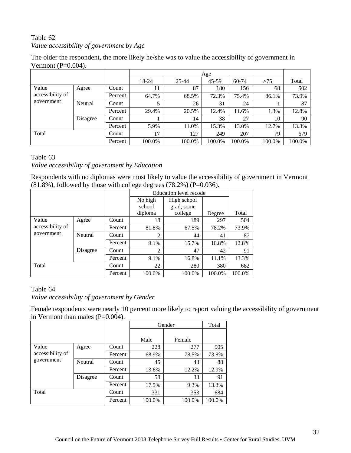# Table 62 *Value accessibility of government by Age*

The older the respondent, the more likely he/she was to value the accessibility of government in Vermont (P=0.004).

|                                         |          |         |        |        | Age     |           |        |        |
|-----------------------------------------|----------|---------|--------|--------|---------|-----------|--------|--------|
|                                         |          |         | 18-24  | 25-44  | $45-59$ | $60 - 74$ | >75    | Total  |
| Value<br>accessibility of<br>government | Agree    | Count   | 11     | 87     | 180     | 156       | 68     | 502    |
|                                         |          | Percent | 64.7%  | 68.5%  | 72.3%   | 75.4%     | 86.1%  | 73.9%  |
|                                         | Neutral  | Count   | 5      | 26     | 31      | 24        |        | 87     |
|                                         |          | Percent | 29.4%  | 20.5%  | 12.4%   | 11.6%     | 1.3%   | 12.8%  |
|                                         | Disagree | Count   |        | 14     | 38      | 27        | 10     | 90     |
|                                         |          | Percent | 5.9%   | 11.0%  | 15.3%   | 13.0%     | 12.7%  | 13.3%  |
| Total                                   |          | Count   | 17     | 127    | 249     | 207       | 79     | 679    |
|                                         |          | Percent | 100.0% | 100.0% | 100.0%  | 100.0%    | 100.0% | 100.0% |

#### Table 63

*Value accessibility of government by Education* 

Respondents with no diplomas were most likely to value the accessibility of government in Vermont  $(81.8\%)$ , followed by those with college degrees  $(78.2\%)$  (P=0.036).

|                                |          |         |                | Education level recode |        |        |
|--------------------------------|----------|---------|----------------|------------------------|--------|--------|
|                                |          |         | No high        | High school            |        |        |
|                                |          |         | school         | grad, some             |        |        |
|                                |          |         | diploma        | college                | Degree | Total  |
| Value                          | Agree    | Count   | 18             | 189                    | 297    | 504    |
| accessibility of<br>government |          | Percent | 81.8%          | 67.5%                  | 78.2%  | 73.9%  |
|                                | Neutral  | Count   | $\overline{2}$ | 44                     | 41     | 87     |
|                                |          | Percent | 9.1%           | 15.7%                  | 10.8%  | 12.8%  |
|                                | Disagree | Count   | $\overline{2}$ | 47                     | 42     | 91     |
|                                |          | Percent | 9.1%           | 16.8%                  | 11.1%  | 13.3%  |
| Total                          |          | Count   | 22             | 280                    | 380    | 682    |
|                                |          | Percent | 100.0%         | 100.0%                 | 100.0% | 100.0% |

#### Table 64

*Value accessibility of government by Gender*

Female respondents were nearly 10 percent more likely to report valuing the accessibility of government in Vermont than males  $(P=0.004)$ .

|                                |          |         |        | Gender | Total  |
|--------------------------------|----------|---------|--------|--------|--------|
|                                |          |         | Male   | Female |        |
| Value                          | Agree    | Count   | 228    | 277    | 505    |
| accessibility of<br>government |          | Percent | 68.9%  | 78.5%  | 73.8%  |
|                                | Neutral  | Count   | 45     | 43     | 88     |
|                                |          | Percent | 13.6%  | 12.2%  | 12.9%  |
|                                | Disagree | Count   | 58     | 33     | 91     |
|                                |          | Percent | 17.5%  | 9.3%   | 13.3%  |
| Total                          |          | Count   | 331    | 353    | 684    |
|                                |          | Percent | 100.0% | 100.0% | 100.0% |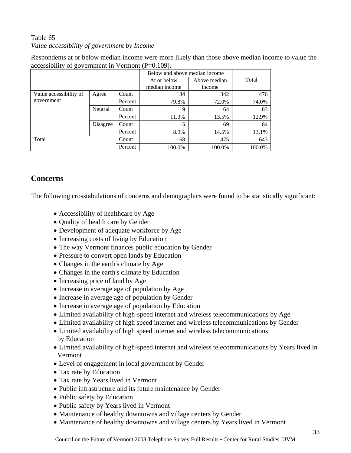# Table 65 *Value accessibility of government by Income*

Respondents at or below median income were more likely than those above median income to value the accessibility of government in Vermont (P=0.109).

|                        |          |         | Below and above median income |              |        |
|------------------------|----------|---------|-------------------------------|--------------|--------|
|                        |          |         | At or below                   | Above median | Total  |
|                        |          |         | median income                 | income       |        |
| Value accessibility of | Agree    | Count   | 134                           | 342          | 476    |
| government             |          | Percent | 79.8%                         | 72.0%        | 74.0%  |
|                        | Neutral  | Count   | 19                            | 64           | 83     |
|                        |          | Percent | 11.3%                         | 13.5%        | 12.9%  |
|                        | Disagree | Count   | 15                            | 69           | 84     |
|                        |          | Percent | 8.9%                          | 14.5%        | 13.1%  |
| Total                  |          | Count   | 168                           | 475          | 643    |
|                        |          | Percent | 100.0%                        | 100.0%       | 100.0% |

# **Concerns**

The following crosstabulations of concerns and demographics were found to be statistically significant:

- Accessibility of healthcare by Age
- Quality of health care by Gender
- Development of adequate workforce by Age
- Increasing costs of living by Education
- The way Vermont finances public education by Gender
- Pressure to convert open lands by Education
- Changes in the earth's climate by Age
- Changes in the earth's climate by Education
- Increasing price of land by Age
- Increase in average age of population by Age
- Increase in average age of population by Gender
- Increase in average age of population by Education
- Limited availability of high-speed internet and wireless telecommunications by Age
- Limited availability of high speed internet and wireless telecommunications by Gender
- Limited availability of high speed internet and wireless telecommunications by Education
- Limited availability of high-speed internet and wireless telecommunications by Years lived in Vermont
- Level of engagement in local government by Gender
- Tax rate by Education
- Tax rate by Years lived in Vermont
- Public infrastructure and its future maintenance by Gender
- Public safety by Education
- Public safety by Years lived in Vermont
- Maintenance of healthy downtowns and village centers by Gender
- Maintenance of healthy downtowns and village centers by Years lived in Vermont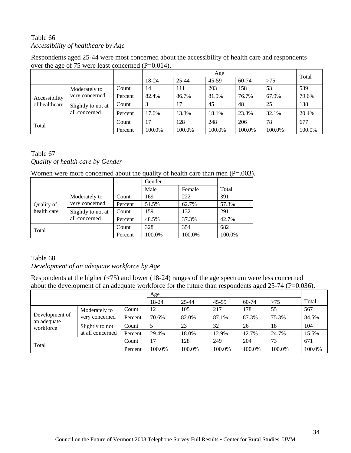# Table 66 *Accessibility of healthcare by Age*

Respondents aged 25-44 were most concerned about the accessibility of health care and respondents over the age of 75 were least concerned (P=0.014).

|               |                                     |         |        | Age       |         |        |        |        |  |
|---------------|-------------------------------------|---------|--------|-----------|---------|--------|--------|--------|--|
|               |                                     |         | 18-24  | $25 - 44$ | $45-59$ | 60-74  | >75    | Total  |  |
| Accessibility | Moderately to<br>very concerned     | Count   | 14     | 111       | 203     | 158    | 53     | 539    |  |
|               |                                     | Percent | 82.4%  | 86.7%     | 81.9%   | 76.7%  | 67.9%  | 79.6%  |  |
| of healthcare | Slightly to not at<br>all concerned | Count   |        | 17        | 45      | 48     | 25     | 138    |  |
|               |                                     | Percent | 17.6%  | 13.3%     | 18.1%   | 23.3%  | 32.1%  | 20.4%  |  |
| Total         |                                     | Count   | 17     | 128       | 248     | 206    | 78     | 677    |  |
|               |                                     | Percent | 100.0% | 100.0%    | 100.0%  | 100.0% | 100.0% | 100.0% |  |

#### Table 67 *Quality of health care by Gender*

Women were more concerned about the quality of health care than men (P=.003).

|             |                                     |         | Gender |        |        |
|-------------|-------------------------------------|---------|--------|--------|--------|
|             |                                     |         | Male   | Female | Total  |
| Quality of  | Moderately to                       | Count   | 169    | 222    | 391    |
|             | very concerned                      | Percent | 51.5%  | 62.7%  | 57.3%  |
| health care | Slightly to not at<br>all concerned | Count   | 159    | 132    | 291    |
|             |                                     | Percent | 48.5%  | 37.3%  | 42.7%  |
| Total       |                                     | Count   | 328    | 354    | 682    |
|             |                                     | Percent | 100.0% | 100.0% | 100.0% |

#### Table 68

#### *Development of an adequate workforce by Age*

Respondents at the higher (<75) and lower (18-24) ranges of the age spectrum were less concerned about the development of an adequate workforce for the future than respondents aged 25-74 (P=0.036).

|                               |                                     |         | Age    |        |        |        |        |        |
|-------------------------------|-------------------------------------|---------|--------|--------|--------|--------|--------|--------|
|                               |                                     |         | 18-24  | 25-44  | 45-59  | 60-74  | >75    | Total  |
| Development of<br>an adequate | Moderately to<br>very concerned     | Count   | 12     | 105    | 217    | 178    | 55     | 567    |
|                               |                                     | Percent | 70.6%  | 82.0%  | 87.1%  | 87.3%  | 75.3%  | 84.5%  |
| workforce                     | Slightly to not<br>at all concerned | Count   | 5      | 23     | 32     | 26     | 18     | 104    |
|                               |                                     | Percent | 29.4%  | 18.0%  | 12.9%  | 12.7%  | 24.7%  | 15.5%  |
| Total                         |                                     | Count   | 17     | 128    | 249    | 204    | 73     | 671    |
|                               |                                     | Percent | 100.0% | 100.0% | 100.0% | 100.0% | 100.0% | 100.0% |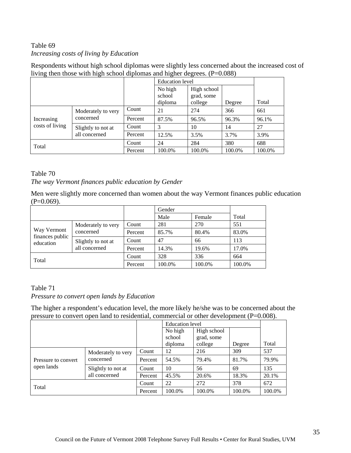## Table 69 *Increasing costs of living by Education*

Respondents without high school diplomas were slightly less concerned about the increased cost of living then those with high school diplomas and higher degrees. (P=0.088)

|                 |                    |         | <b>Education</b> level       |                                      |        |        |
|-----------------|--------------------|---------|------------------------------|--------------------------------------|--------|--------|
|                 |                    |         | No high<br>school<br>diploma | High school<br>grad, some<br>college | Degree | Total  |
|                 | Moderately to very | Count   | 21                           | 274                                  | 366    | 661    |
| Increasing      | concerned          | Percent | 87.5%                        | 96.5%                                | 96.3%  | 96.1%  |
| costs of living | Slightly to not at | Count   | 3                            | 10                                   | 14     | 27     |
|                 | all concerned      | Percent | 12.5%                        | 3.5%                                 | 3.7%   | 3.9%   |
| Total           |                    | Count   | 24                           | 284                                  | 380    | 688    |
|                 |                    | Percent | 100.0%                       | 100.0%                               | 100.0% | 100.0% |

#### Table 70

#### *The way Vermont finances public education by Gender*

Men were slightly more concerned than women about the way Vermont finances public education  $(P=0.069)$ .

|                              |                    |         | Gender |        |        |
|------------------------------|--------------------|---------|--------|--------|--------|
|                              |                    |         | Male   | Female | Total  |
| Way Vermont                  | Moderately to very | Count   | 281    | 270    | 551    |
|                              | concerned          | Percent | 85.7%  | 80.4%  | 83.0%  |
| finances public<br>education | Slightly to not at | Count   | 47     | 66     | 113    |
|                              | all concerned      | Percent | 14.3%  | 19.6%  | 17.0%  |
| Total                        |                    | Count   | 328    | 336    | 664    |
|                              |                    | Percent | 100.0% | 100.0% | 100.0% |

## Table 71

#### *Pressure to convert open lands by Education*

The higher a respondent's education level, the more likely he/she was to be concerned about the pressure to convert open land to residential, commercial or other development (P=0.008).

|                     |                                 |         | <b>Education</b> level |                       |        |        |
|---------------------|---------------------------------|---------|------------------------|-----------------------|--------|--------|
|                     |                                 |         | No high                | High school           |        |        |
|                     |                                 |         | school<br>diploma      | grad, some<br>college | Degree | Total  |
|                     | Moderately to very<br>concerned | Count   | 12                     | 216                   | 309    | 537    |
| Pressure to convert |                                 | Percent | 54.5%                  | 79.4%                 | 81.7%  | 79.9%  |
| open lands          | Slightly to not at              | Count   | 10                     | 56                    | 69     | 135    |
|                     | all concerned                   | Percent | 45.5%                  | 20.6%                 | 18.3%  | 20.1%  |
| Total               |                                 | Count   | 22                     | 272                   | 378    | 672    |
|                     |                                 | Percent | 100.0%                 | 100.0%                | 100.0% | 100.0% |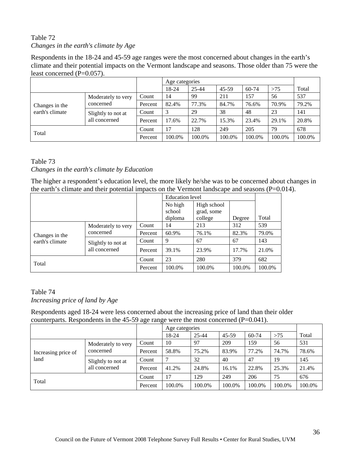# Table 72 *Changes in the earth's climate by Age*

Respondents in the 18-24 and 45-59 age ranges were the most concerned about changes in the earth's climate and their potential impacts on the Vermont landscape and seasons. Those older than 75 were the least concerned (P=0.057).

|                 |                                     |         |        | Age categories |         |        |        |        |
|-----------------|-------------------------------------|---------|--------|----------------|---------|--------|--------|--------|
|                 |                                     |         | 18-24  | 25-44          | $45-59$ | 60-74  | >75    | Total  |
|                 | Moderately to very                  | Count   | 14     | 99             | 211     | 157    | 56     | 537    |
| Changes in the  | concerned                           | Percent | 82.4%  | 77.3%          | 84.7%   | 76.6%  | 70.9%  | 79.2%  |
| earth's climate | Slightly to not at<br>all concerned | Count   | 3      | 29             | 38      | 48     | 23     | 141    |
|                 |                                     | Percent | 17.6%  | 22.7%          | 15.3%   | 23.4%  | 29.1%  | 20.8%  |
| Total           |                                     | Count   | 17     | 128            | 249     | 205    | 79     | 678    |
|                 |                                     | Percent | 100.0% | 100.0%         | 100.0%  | 100.0% | 100.0% | 100.0% |

#### Table 73

#### *Changes in the earth's climate by Education*

The higher a respondent's education level, the more likely he/she was to be concerned about changes in the earth's climate and their potential impacts on the Vermont landscape and seasons  $(P=0.014)$ .

|                 |                    |         |                              | <b>Education</b> level               |        |        |
|-----------------|--------------------|---------|------------------------------|--------------------------------------|--------|--------|
|                 |                    |         | No high<br>school<br>diploma | High school<br>grad, some<br>college | Degree | Total  |
|                 | Moderately to very | Count   | 14                           | 213                                  | 312    | 539    |
| Changes in the  | concerned          | Percent | 60.9%                        | 76.1%                                | 82.3%  | 79.0%  |
| earth's climate | Slightly to not at | Count   | 9                            | 67                                   | 67     | 143    |
|                 | all concerned      | Percent | 39.1%                        | 23.9%                                | 17.7%  | 21.0%  |
| Total           |                    | Count   | 23                           | 280                                  | 379    | 682    |
|                 |                    | Percent | 100.0%                       | 100.0%                               | 100.0% | 100.0% |

# Table 74 *Increasing price of land by Age*

Respondents aged 18-24 were less concerned about the increasing price of land than their older counterparts. Respondents in the 45-59 age range were the most concerned (P=0.041).

|                             |                                     |         | Age categories |           |         |        |        |        |
|-----------------------------|-------------------------------------|---------|----------------|-----------|---------|--------|--------|--------|
|                             |                                     |         | 18-24          | $25 - 44$ | $45-59$ | 60-74  | >75    | Total  |
|                             | Moderately to very                  | Count   | 10             | 97        | 209     | 159    | 56     | 531    |
| Increasing price of<br>land | concerned                           | Percent | 58.8%          | 75.2%     | 83.9%   | 77.2%  | 74.7%  | 78.6%  |
|                             | Slightly to not at<br>all concerned | Count   |                | 32        | 40      | 47     | 19     | 145    |
|                             |                                     | Percent | 41.2%          | 24.8%     | 16.1%   | 22.8%  | 25.3%  | 21.4%  |
| Total                       |                                     | Count   | 17             | 129       | 249     | 206    | 75     | 676    |
|                             |                                     | Percent | 100.0%         | 100.0%    | 100.0%  | 100.0% | 100.0% | 100.0% |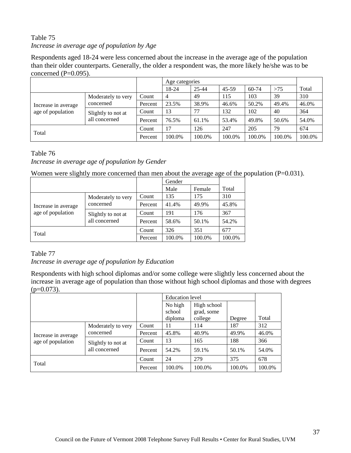# Table 75 *Increase in average age of population by Age*

Respondents aged 18-24 were less concerned about the increase in the average age of the population than their older counterparts. Generally, the older a respondent was, the more likely he/she was to be concerned  $(P=0.095)$ .

|                                          |                                     |         |                | Age categories |         |        |        |        |
|------------------------------------------|-------------------------------------|---------|----------------|----------------|---------|--------|--------|--------|
|                                          |                                     |         | 18-24          | 25-44          | $45-59$ | 60-74  | >75    | Total  |
|                                          | Moderately to very                  | Count   | $\overline{4}$ | 49             | 115     | 103    | 39     | 310    |
| Increase in average<br>age of population | concerned                           | Percent | 23.5%          | 38.9%          | 46.6%   | 50.2%  | 49.4%  | 46.0%  |
|                                          | Slightly to not at<br>all concerned | Count   | 13             | 77             | 132     | 102    | 40     | 364    |
|                                          |                                     | Percent | 76.5%          | 61.1%          | 53.4%   | 49.8%  | 50.6%  | 54.0%  |
| Total                                    |                                     | Count   | 17             | 126            | 247     | 205    | 79     | 674    |
|                                          |                                     | Percent | 100.0%         | 100.0%         | 100.0%  | 100.0% | 100.0% | 100.0% |

#### Table 76

#### *Increase in average age of population by Gender*

Women were slightly more concerned than men about the average age of the population (P=0.031).

|                                          |                                     |         | Gender |        |        |
|------------------------------------------|-------------------------------------|---------|--------|--------|--------|
|                                          |                                     |         | Male   | Female | Total  |
| Increase in average<br>age of population | Moderately to very                  | Count   | 135    | 175    | 310    |
|                                          | concerned                           | Percent | 41.4%  | 49.9%  | 45.8%  |
|                                          | Slightly to not at<br>all concerned | Count   | 191    | 176    | 367    |
|                                          |                                     | Percent | 58.6%  | 50.1%  | 54.2%  |
| Total                                    | Count                               | 326     | 351    | 677    |        |
|                                          |                                     | Percent | 100.0% | 100.0% | 100.0% |

#### Table 77

#### *Increase in average age of population by Education*

Respondents with high school diplomas and/or some college were slightly less concerned about the increase in average age of population than those without high school diplomas and those with degrees  $(p=0.073)$ .

|                     |                                     |         |                              | <b>Education</b> level               |        |        |  |
|---------------------|-------------------------------------|---------|------------------------------|--------------------------------------|--------|--------|--|
|                     |                                     |         | No high<br>school<br>diploma | High school<br>grad, some<br>college | Degree | Total  |  |
|                     | Moderately to very                  | Count   | 11                           | 114                                  | 187    | 312    |  |
| Increase in average | concerned                           | Percent | 45.8%                        | 40.9%                                | 49.9%  | 46.0%  |  |
| age of population   | Slightly to not at<br>all concerned | Count   | 13                           | 165                                  | 188    | 366    |  |
|                     |                                     | Percent | 54.2%                        | 59.1%                                | 50.1%  | 54.0%  |  |
| Total               |                                     | Count   | 24                           | 279                                  | 375    | 678    |  |
|                     |                                     | Percent | 100.0%                       | 100.0%                               | 100.0% | 100.0% |  |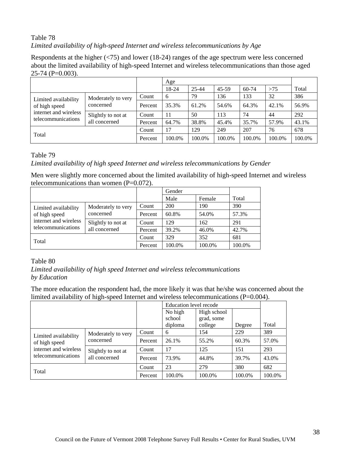# Table 78 *Limited availability of high-speed Internet and wireless telecommunications by Age*

Respondents at the higher (<75) and lower (18-24) ranges of the age spectrum were less concerned about the limited availability of high-speed Internet and wireless telecommunications than those aged 25-74 (P=0.003).

|                                       |                                     |         | Age    |        |         |           |        |        |
|---------------------------------------|-------------------------------------|---------|--------|--------|---------|-----------|--------|--------|
|                                       |                                     |         | 18-24  | 25-44  | $45-59$ | $60 - 74$ | >75    | Total  |
| Limited availability<br>of high speed | Moderately to very                  | Count   | 6      | 79     | 136     | 133       | 32     | 386    |
|                                       | concerned                           | Percent | 35.3%  | 61.2%  | 54.6%   | 64.3%     | 42.1%  | 56.9%  |
| internet and wireless                 | Slightly to not at<br>all concerned | Count   | 11     | 50     | 113     | 74        | 44     | 292    |
| telecommunications                    |                                     | Percent | 64.7%  | 38.8%  | 45.4%   | 35.7%     | 57.9%  | 43.1%  |
| Total                                 |                                     | Count   | 17     | 129    | 249     | 207       | 76     | 678    |
|                                       |                                     | Percent | 100.0% | 100.0% | 100.0%  | 100.0%    | 100.0% | 100.0% |

Table 79

#### *Limited availability of high speed Internet and wireless telecommunications by Gender*

Men were slightly more concerned about the limited availability of high-speed Internet and wireless telecommunications than women (P=0.072).

|                                                                                      |                                     |         | Gender     |        |        |
|--------------------------------------------------------------------------------------|-------------------------------------|---------|------------|--------|--------|
|                                                                                      |                                     |         | Male       | Female | Total  |
| Limited availability<br>of high speed<br>internet and wireless<br>telecommunications | Moderately to very<br>concerned     | Count   | <b>200</b> | 190    | 390    |
|                                                                                      |                                     | Percent | 60.8%      | 54.0%  | 57.3%  |
|                                                                                      | Slightly to not at<br>all concerned | Count   | 129        | 162    | 291    |
|                                                                                      |                                     | Percent | 39.2%      | 46.0%  | 42.7%  |
|                                                                                      |                                     | Count   | 329        | 352    | 681    |
| Total                                                                                |                                     | Percent | 100.0%     | 100.0% | 100.0% |

#### Table 80

*Limited availability of high speed Internet and wireless telecommunications by Education*

The more education the respondent had, the more likely it was that he/she was concerned about the limited availability of high-speed Internet and wireless telecommunications  $(P=0.004)$ .

|                       |                                     |         | Education level recode |             |        |        |
|-----------------------|-------------------------------------|---------|------------------------|-------------|--------|--------|
|                       |                                     |         | No high                | High school |        |        |
|                       |                                     |         | school                 | grad, some  |        |        |
|                       |                                     |         | diploma                | college     | Degree | Total  |
| Limited availability  | Moderately to very<br>concerned     | Count   | 6                      | 154         | 229    | 389    |
| of high speed         |                                     | Percent | 26.1%                  | 55.2%       | 60.3%  | 57.0%  |
| internet and wireless | Slightly to not at<br>all concerned | Count   | 17                     | 125         | 151    | 293    |
| telecommunications    |                                     | Percent | 73.9%                  | 44.8%       | 39.7%  | 43.0%  |
| Total                 |                                     | Count   | 23                     | 279         | 380    | 682    |
|                       |                                     | Percent | 100.0%                 | 100.0%      | 100.0% | 100.0% |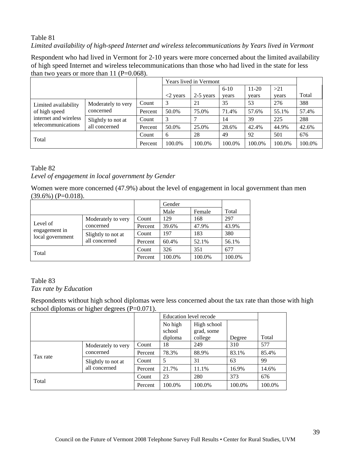# Table 81 *Limited availability of high-speed Internet and wireless telecommunications by Years lived in Vermont*

Respondent who had lived in Vermont for 2-10 years were more concerned about the limited availability of high speed Internet and wireless telecommunications than those who had lived in the state for less than two years or more than  $11$  (P=0.068).

|                                       |                                     |         |                           | Years lived in Vermont |          |         |        |        |
|---------------------------------------|-------------------------------------|---------|---------------------------|------------------------|----------|---------|--------|--------|
|                                       |                                     |         |                           |                        | $6 - 10$ | $11-20$ | >21    |        |
|                                       |                                     |         | $\langle 2 \rangle$ vears | 2-5 years              | years    | years   | years  | Total  |
| Limited availability<br>of high speed | Moderately to very                  | Count   | 3                         | 21                     | 35       | 53      | 276    | 388    |
|                                       | concerned                           | Percent | 50.0%                     | 75.0%                  | 71.4%    | 57.6%   | 55.1%  | 57.4%  |
| internet and wireless                 | Slightly to not at<br>all concerned | Count   | 3                         |                        | 14       | 39      | 225    | 288    |
| telecommunications                    |                                     | Percent | 50.0%                     | 25.0%                  | 28.6%    | 42.4%   | 44.9%  | 42.6%  |
|                                       |                                     | Count   | 6                         | 28                     | 49       | 92      | 501    | 676    |
| Total                                 |                                     | Percent | 100.0%                    | 100.0%                 | 100.0%   | 100.0%  | 100.0% | 100.0% |

#### Table 82 *Level of engagement in local government by Gender*

Women were more concerned (47.9%) about the level of engagement in local government than men  $(39.6\%) (P=0.018).$ 

|                                   |                                     |         | Gender |        |        |
|-----------------------------------|-------------------------------------|---------|--------|--------|--------|
|                                   |                                     |         | Male   | Female | Total  |
| Level of                          | Moderately to very                  | Count   | 129    | 168    | 297    |
|                                   | concerned                           | Percent | 39.6%  | 47.9%  | 43.9%  |
| engagement in<br>local government | Slightly to not at<br>all concerned | Count   | 197    | 183    | 380    |
|                                   |                                     | Percent | 60.4%  | 52.1%  | 56.1%  |
| Total                             |                                     | Count   | 326    | 351    | 677    |
|                                   |                                     | Percent | 100.0% | 100.0% | 100.0% |

# Table 83

#### *Tax rate by Education*

Respondents without high school diplomas were less concerned about the tax rate than those with high school diplomas or higher degrees (P=0.071).

|          |                                     |         | Education level recode |                           |        |        |
|----------|-------------------------------------|---------|------------------------|---------------------------|--------|--------|
|          |                                     |         | No high<br>school      | High school<br>grad, some |        |        |
|          |                                     |         | diploma                | college                   | Degree | Total  |
|          | Moderately to very                  | Count   | 18                     | 249                       | 310    | 577    |
| Tax rate | concerned                           | Percent | 78.3%                  | 88.9%                     | 83.1%  | 85.4%  |
|          | Slightly to not at<br>all concerned | Count   | 5                      | 31                        | 63     | 99     |
|          |                                     | Percent | 21.7%                  | 11.1%                     | 16.9%  | 14.6%  |
| Total    |                                     | Count   | 23                     | 280                       | 373    | 676    |
|          |                                     | Percent | 100.0%                 | 100.0%                    | 100.0% | 100.0% |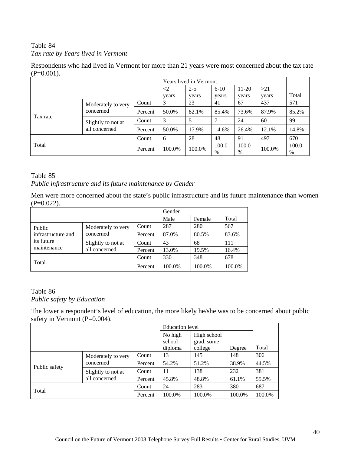#### Table 84 *Tax rate by Years lived in Vermont*

Respondents who had lived in Vermont for more than 21 years were most concerned about the tax rate  $(P=0.001)$ .

|          |                                     |         |                     | Years lived in Vermont |            |            |        |            |
|----------|-------------------------------------|---------|---------------------|------------------------|------------|------------|--------|------------|
|          |                                     |         | $\langle 2 \rangle$ | $2 - 5$                | $6 - 10$   | $11-20$    | >21    |            |
|          |                                     |         | years               | years                  | years      | years      | years  | Total      |
|          | Moderately to very                  | Count   | 3                   | 23                     | 41         | 67         | 437    | 571        |
|          | concerned                           | Percent | 50.0%               | 82.1%                  | 85.4%      | 73.6%      | 87.9%  | 85.2%      |
| Tax rate | Slightly to not at<br>all concerned | Count   | 3                   | 5                      | 7          | 24         | 60     | 99         |
|          |                                     | Percent | 50.0%               | 17.9%                  | 14.6%      | 26.4%      | 12.1%  | 14.8%      |
| Total    |                                     | Count   | 6                   | 28                     | 48         | 91         | 497    | 670        |
|          |                                     | Percent | 100.0%              | 100.0%                 | 100.0<br>% | 100.0<br>% | 100.0% | 100.0<br>% |

#### Table 85

*Public infrastructure and its future maintenance by Gender*

Men were more concerned about the state's public infrastructure and its future maintenance than women  $(P=0.022)$ .

|                                                           |                                     |         | Gender |        |        |
|-----------------------------------------------------------|-------------------------------------|---------|--------|--------|--------|
|                                                           |                                     |         | Male   | Female | Total  |
| Public<br>infrastructure and<br>its future<br>maintenance | Moderately to very<br>concerned     | Count   | 287    | 280    | 567    |
|                                                           |                                     | Percent | 87.0%  | 80.5%  | 83.6%  |
|                                                           | Slightly to not at<br>all concerned | Count   | 43     | 68     | 111    |
|                                                           |                                     | Percent | 13.0%  | 19.5%  | 16.4%  |
|                                                           |                                     | Count   | 330    | 348    | 678    |
| Total                                                     |                                     | Percent | 100.0% | 100.0% | 100.0% |

#### Table 86 *Public safety by Education*

The lower a respondent's level of education, the more likely he/she was to be concerned about public safety in Vermont (P=0.004).

|               |                    |         | <b>Education</b> level |             |        |        |
|---------------|--------------------|---------|------------------------|-------------|--------|--------|
|               |                    |         | No high                | High school |        |        |
|               |                    |         | school                 | grad, some  |        |        |
|               |                    |         | diploma                | college     | Degree | Total  |
| Public safety | Moderately to very | Count   | 13                     | 145         | 148    | 306    |
|               | concerned          | Percent | 54.2%                  | 51.2%       | 38.9%  | 44.5%  |
|               | Slightly to not at | Count   | 11                     | 138         | 232    | 381    |
| all concerned |                    | Percent | 45.8%                  | 48.8%       | 61.1%  | 55.5%  |
| Total         |                    | Count   | 24                     | 283         | 380    | 687    |
|               |                    | Percent | 100.0%                 | 100.0%      | 100.0% | 100.0% |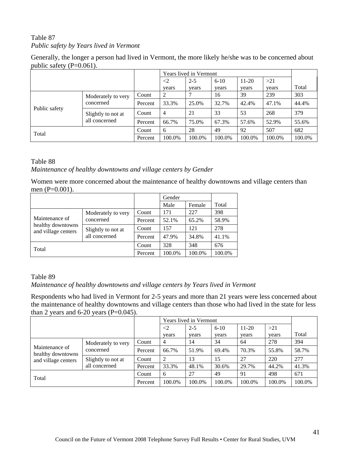# Table 87 *Public safety by Years lived in Vermont*

|                             | Generally, the longer a person had lived in Vermont, the more likely he/she was to be concerned about |
|-----------------------------|-------------------------------------------------------------------------------------------------------|
| public safety $(P=0.061)$ . |                                                                                                       |

|                                                                                         |       |         |                   | Years lived in Vermont |                   |                  |              |        |
|-----------------------------------------------------------------------------------------|-------|---------|-------------------|------------------------|-------------------|------------------|--------------|--------|
|                                                                                         |       |         | $\leq$ 2<br>years | $2 - 5$<br>years       | $6 - 10$<br>years | $11-20$<br>years | >21<br>years | Total  |
| Moderately to very<br>concerned<br>Public safety<br>Slightly to not at<br>all concerned | Count | 2       |                   | 16                     | 39                | 239              | 303          |        |
|                                                                                         |       | Percent | 33.3%             | 25.0%                  | 32.7%             | 42.4%            | 47.1%        | 44.4%  |
|                                                                                         |       | Count   | $\overline{4}$    | 21                     | 33                | 53               | 268          | 379    |
|                                                                                         |       | Percent | 66.7%             | 75.0%                  | 67.3%             | 57.6%            | 52.9%        | 55.6%  |
| Total                                                                                   |       | Count   | 6                 | 28                     | 49                | 92               | 507          | 682    |
|                                                                                         |       | Percent | 100.0%            | 100.0%                 | 100.0%            | 100.0%           | 100.0%       | 100.0% |

#### Table 88

*Maintenance of healthy downtowns and village centers by Gender*

Women were more concerned about the maintenance of healthy downtowns and village centers than men (P=0.001).

|                                                            |                                     |         | Gender |        |       |
|------------------------------------------------------------|-------------------------------------|---------|--------|--------|-------|
|                                                            |                                     |         | Male   | Female | Total |
|                                                            | Moderately to very                  | Count   | 171    | 227    | 398   |
| Maintenance of<br>healthy downtowns<br>and village centers | concerned                           | Percent | 52.1%  | 65.2%  | 58.9% |
|                                                            | Slightly to not at<br>all concerned | Count   | 157    | 121    | 278   |
|                                                            |                                     | Percent | 47.9%  | 34.8%  | 41.1% |
| Total                                                      | Count                               | 328     | 348    | 676    |       |
|                                                            | Percent                             | 100.0%  | 100.0% | 100.0% |       |

Table 89 *Maintenance of healthy downtowns and village centers by Years lived in Vermont*

Respondents who had lived in Vermont for 2-5 years and more than 21 years were less concerned about the maintenance of healthy downtowns and village centers than those who had lived in the state for less than 2 years and  $6-20$  years (P=0.045).

|                                                            |                                     |         | Years lived in Vermont |         |          |         |        |        |
|------------------------------------------------------------|-------------------------------------|---------|------------------------|---------|----------|---------|--------|--------|
|                                                            |                                     |         | $\leq$ 2               | $2 - 5$ | $6 - 10$ | $11-20$ | >21    |        |
|                                                            |                                     |         | years                  | years   | years    | years   | years  | Total  |
| Maintenance of<br>healthy downtowns<br>and village centers | Moderately to very                  | Count   | 4                      | 14      | 34       | 64      | 278    | 394    |
|                                                            | concerned                           | Percent | 66.7%                  | 51.9%   | 69.4%    | 70.3%   | 55.8%  | 58.7%  |
|                                                            | Slightly to not at<br>all concerned | Count   | $\overline{2}$         | 13      | 15       | 27      | 220    | 277    |
|                                                            |                                     | Percent | 33.3%                  | 48.1%   | 30.6%    | 29.7%   | 44.2%  | 41.3%  |
| Total                                                      |                                     | Count   | 6                      | 27      | 49       | 91      | 498    | 671    |
|                                                            |                                     | Percent | 100.0%                 | 100.0%  | 100.0%   | 100.0%  | 100.0% | 100.0% |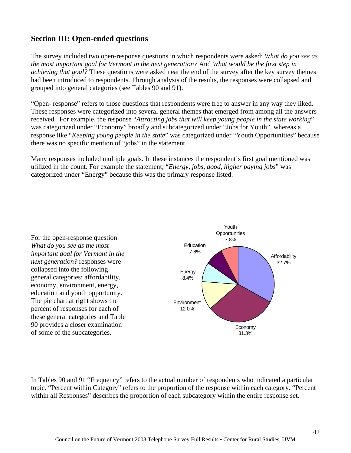# **Section III: Open-ended questions**

The survey included two open-response questions in which respondents were asked: *What do you see as the most important goal for Vermont in the next generation?* And *What would be the first step in achieving that goal?* These questions were asked near the end of the survey after the key survey themes had been introduced to respondents. Through analysis of the results, the responses were collapsed and grouped into general categories (see Tables 90 and 91).

"Open- response" refers to those questions that respondents were free to answer in any way they liked. These responses were categorized into several general themes that emerged from among all the answers received. For example, the response "*Attracting jobs that will keep young people in the state working*" was categorized under "Economy" broadly and subcategorized under "Jobs for Youth", whereas a response like "*Keeping young people in the state*" was categorized under "Youth Opportunities" because there was no specific mention of "jobs" in the statement.

Many responses included multiple goals. In these instances the respondent's first goal mentioned was utilized in the count. For example the statement; "*Energy, jobs, good, higher paying jobs*" was categorized under "Energy" because this was the primary response listed.

For the open-response question *What do you see as the most important goal for Vermont in the next generation?* responses were collapsed into the following general categories: affordability, economy, environment, energy, education and youth opportunity. The pie chart at right shows the percent of responses for each of these general categories and Table 90 provides a closer examination of some of the subcategories.



In Tables 90 and 91 "Frequency" refers to the actual number of respondents who indicated a particular topic. "Percent within Category" refers to the proportion of the response within each category. "Percent within all Responses" describes the proportion of each subcategory within the entire response set.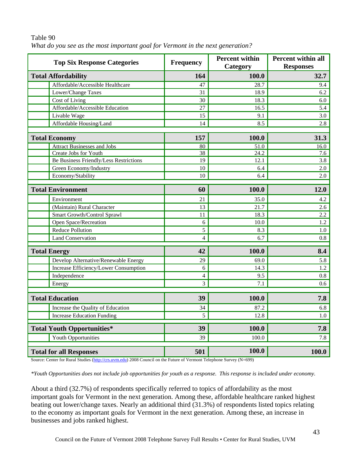| <b>Top Six Response Categories</b>                              | <b>Frequency</b> | <b>Percent within</b><br>Category | <b>Percent within all</b><br><b>Responses</b> |
|-----------------------------------------------------------------|------------------|-----------------------------------|-----------------------------------------------|
| <b>Total Affordability</b>                                      | 164              | 100.0                             | 32.7                                          |
| Affordable/Accessible Healthcare                                | 47               | 28.7                              | 9.4                                           |
| Lower/Change Taxes                                              | 31               | 18.9                              | 6.2                                           |
| Cost of Living                                                  | 30               | 18.3                              | 6.0                                           |
| Affordable/Accessible Education                                 | 27               | 16.5                              | 5.4                                           |
| Livable Wage                                                    | 15               | 9.1                               | 3.0                                           |
| Affordable Housing/Land                                         | 14               | 8.5                               | 2.8                                           |
|                                                                 |                  |                                   |                                               |
| <b>Total Economy</b>                                            | 157              | 100.0                             | 31.3                                          |
| <b>Attract Businesses and Jobs</b>                              | 80               | 51.0                              | 16.0                                          |
| Create Jobs for Youth<br>Be Business Friendly/Less Restrictions | 38<br>19         | 24.2<br>12.1                      | 7.6<br>3.8                                    |
| Green Economy/Industry                                          | 10               | 6.4                               | 2.0                                           |
| Economy/Stability                                               | 10               | 6.4                               | 2.0                                           |
|                                                                 |                  |                                   |                                               |
| <b>Total Environment</b>                                        | 60               | 100.0                             | 12.0                                          |
| Environment                                                     | 21               | 35.0                              | 4.2                                           |
| (Maintain) Rural Character                                      | 13               | 21.7                              | 2.6                                           |
| Smart Growth/Control Sprawl                                     | 11               | 18.3                              | 2.2                                           |
| Open Space/Recreation                                           | 6                | 10.0                              | 1.2                                           |
| <b>Reduce Pollution</b>                                         | 5                | 8.3                               | 1.0                                           |
| <b>Land Conservation</b>                                        | 4                | 6.7                               | 0.8                                           |
|                                                                 |                  |                                   |                                               |
| <b>Total Energy</b>                                             | 42               | 100.0                             | 8.4                                           |
| Develop Alternative/Renewable Energy                            | 29               | 69.0                              | 5.8                                           |
| Increase Efficiency/Lower Consumption                           | 6                | 14.3                              | 1.2                                           |
| Independence                                                    | 4                | 9.5                               | 0.8                                           |
| Energy                                                          | 3                | 7.1                               | 0.6                                           |
| <b>Total Education</b>                                          | 39               | 100.0                             | 7.8                                           |
| Increase the Quality of Education                               | 34               | 87.2                              | 6.8                                           |
| <b>Increase Education Funding</b>                               | 5                | 12.8                              | 1.0                                           |
| <b>Total Youth Opportunities*</b>                               | 39               | 100.0                             | 7.8                                           |
| Youth Opportunities                                             | 39               | 100.0                             | 7.8                                           |
| <b>Total for all Responses</b>                                  | 501              | 100.0                             | <b>100.0</b>                                  |

Table 90 *What do you see as the most important goal for Vermont in the next generation?* 

Source: Center for Rural Studies (http://crs.uvm.edu) 2008 Council on the Future of Vermont Telephone Survey (N=699)

*\*Youth Opportunities does not include job opportunities for youth as a response. This response is included under economy.* 

About a third (32.7%) of respondents specifically referred to topics of affordability as the most important goals for Vermont in the next generation. Among these, affordable healthcare ranked highest beating out lower/change taxes. Nearly an additional third (31.3%) of respondents listed topics relating to the economy as important goals for Vermont in the next generation. Among these, an increase in businesses and jobs ranked highest.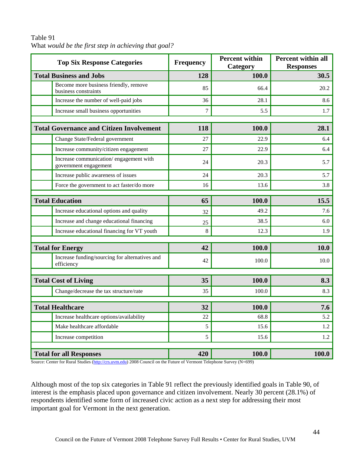| <b>Top Six Response Categories</b>                              | <b>Frequency</b> | <b>Percent within</b><br>Category | <b>Percent within all</b><br><b>Responses</b> |
|-----------------------------------------------------------------|------------------|-----------------------------------|-----------------------------------------------|
| <b>Total Business and Jobs</b>                                  | 128              | 100.0                             | 30.5                                          |
| Become more business friendly, remove<br>business constraints   | 85               | 66.4                              | 20.2                                          |
| Increase the number of well-paid jobs                           | 36               | 28.1                              | 8.6                                           |
| Increase small business opportunities                           | $\overline{7}$   | 5.5                               | 1.7                                           |
| <b>Total Governance and Citizen Involvement</b>                 | 118              | 100.0                             | 28.1                                          |
| Change State/Federal government                                 | 27               | 22.9                              | 6.4                                           |
| Increase community/citizen engagement                           | 27               | 22.9                              | 6.4                                           |
| Increase communication/engagement with<br>government engagement | 24               | 20.3                              | 5.7                                           |
| Increase public awareness of issues                             | 24               | 20.3                              | 5.7                                           |
| Force the government to act faster/do more                      | 16               | 13.6                              | 3.8                                           |
| <b>Total Education</b>                                          | 65               | 100.0                             | 15.5                                          |
| Increase educational options and quality                        | 32               | 49.2                              | 7.6                                           |
| Increase and change educational financing                       | 25               | 38.5                              | 6.0                                           |
| Increase educational financing for VT youth                     | 8                | 12.3                              | 1.9                                           |
|                                                                 |                  |                                   |                                               |
| <b>Total for Energy</b>                                         | 42               | 100.0                             | <b>10.0</b>                                   |
| Increase funding/sourcing for alternatives and<br>efficiency    | 42               | 100.0                             | 10.0                                          |
|                                                                 |                  |                                   |                                               |
| <b>Total Cost of Living</b>                                     | 35               | 100.0                             | 8.3                                           |
| Change/decrease the tax structure/rate                          | 35               | 100.0                             | 8.3                                           |
| <b>Total Healthcare</b>                                         | 32               | 100.0                             | 7.6                                           |
| Increase healthcare options/availability                        | 22               | 68.8                              | 5.2                                           |
| Make healthcare affordable                                      | 5                | 15.6                              | 1.2                                           |
| Increase competition                                            | 5                | 15.6                              | 1.2                                           |
| <b>Total for all Responses</b>                                  | 420              | 100.0                             | <b>100.0</b>                                  |

#### Table 91 What *would be the first step in achieving that goal?*

Source: Center for Rural Studies (http://crs.uvm.edu) 2008 Council on the Future of Vermont Telephone Survey (N=699)

Although most of the top six categories in Table 91 reflect the previously identified goals in Table 90, of interest is the emphasis placed upon governance and citizen involvement. Nearly 30 percent (28.1%) of respondents identified some form of increased civic action as a next step for addressing their most important goal for Vermont in the next generation.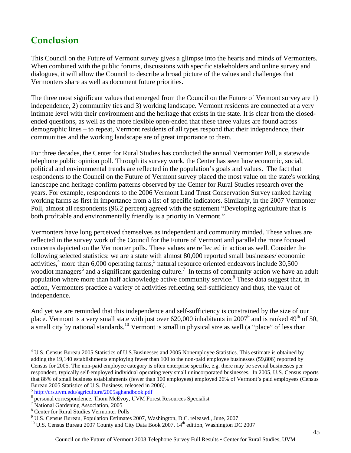# **Conclusion**

This Council on the Future of Vermont survey gives a glimpse into the hearts and minds of Vermonters. When combined with the public forums, discussions with specific stakeholders and online survey and dialogues, it will allow the Council to describe a broad picture of the values and challenges that Vermonters share as well as document future priorities.

The three most significant values that emerged from the Council on the Future of Vermont survey are 1) independence, 2) community ties and 3) working landscape. Vermont residents are connected at a very intimate level with their environment and the heritage that exists in the state. It is clear from the closedended questions, as well as the more flexible open-ended that these three values are found across demographic lines – to repeat, Vermont residents of all types respond that their independence, their communities and the working landscape are of great importance to them.

For three decades, the Center for Rural Studies has conducted the annual Vermonter Poll, a statewide telephone public opinion poll. Through its survey work, the Center has seen how economic, social, political and environmental trends are reflected in the population's goals and values. The fact that respondents to the Council on the Future of Vermont survey placed the most value on the state's working landscape and heritage confirm patterns observed by the Center for Rural Studies research over the years. For example, respondents to the 2006 Vermont Land Trust Conservation Survey ranked having working farms as first in importance from a list of specific indicators. Similarly, in the 2007 Vermonter Poll, almost all respondents (96.2 percent) agreed with the statement "Developing agriculture that is both profitable and environmentally friendly is a priority in Vermont."

Vermonters have long perceived themselves as independent and community minded. These values are reflected in the survey work of the Council for the Future of Vermont and parallel the more focused concerns depicted on the Vermonter polls. These values are reflected in action as well. Consider the following selected statistics: we are a state with almost 80,000 reported small businesses/ economic activities, $4 \text{ more than } 6,000 \text{ operating farms}, 5 \text{ natural resource oriented endeavors include } 30,500$ woodlot managers<sup>6</sup> and a significant gardening culture.<sup>7</sup> In terms of community action we have an adult population where more than half acknowledge active community service.<sup>8</sup> These data suggest that, in action, Vermonters practice a variety of activities reflecting self-sufficiency and thus, the value of independence.

And yet we are reminded that this independence and self-sufficiency is constrained by the size of our place. Vermont is a very small state with just over 620,000 inhabitants in 2007<sup>9</sup> and is ranked 49<sup>th</sup> of 50, a small city by national standards.<sup>10</sup> Vermont is small in physical size as well (a "place" of less than

<sup>5</sup> http://crs.uvm.edu/agriculture/2005aghandbook.pdf

 $\overline{a}$ <sup>4</sup> U.S. Census Bureau 2005 Statistics of U.S. Businesses and 2005 Nonemployee Statistics. This estimate is obtained by adding the 19,140 establishments employing fewer than 100 to the non-paid employee businesses (59,806) reported by Census for 2005. The non-paid employee category is often enterprise specific, e.g. there may be several businesses per respondent, typically self-employed individual operating very small unincorporated businesses. In 2005, U.S. Census reports that 86% of small business establishments (fewer than 100 employees) employed 26% of Vermont's paid employees (Census Bureau 2005 Statistics of U.S. Business, released in 2006).

<sup>6</sup> personal correspondence, Thom McEvoy, UVM Forest Resources Specialist

National Gardening Association, 2005

<sup>8</sup> Center for Rural Studies Vermonter Polls

<sup>&</sup>lt;sup>9</sup> U.S. Census Bureau, Population Estimates 2007, Washington, D.C. released., June, 2007

<sup>&</sup>lt;sup>10</sup> U.S. Census Bureau 2007 County and City Data Book 2007,  $14<sup>th</sup>$  edition, Washington DC 2007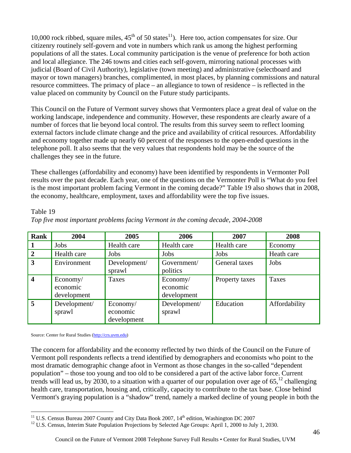10,000 rock ribbed, square miles,  $45<sup>th</sup>$  of 50 states<sup>11</sup>). Here too, action compensates for size. Our citizenry routinely self-govern and vote in numbers which rank us among the highest performing populations of all the states. Local community participation is the venue of preference for both action and local allegiance. The 246 towns and cities each self-govern, mirroring national processes with judicial (Board of Civil Authority), legislative (town meeting) and administrative (selectboard and mayor or town managers) branches, complimented, in most places, by planning commissions and natural resource committees. The primacy of place – an allegiance to town of residence – is reflected in the value placed on community by Council on the Future study participants.

This Council on the Future of Vermont survey shows that Vermonters place a great deal of value on the working landscape, independence and community. However, these respondents are clearly aware of a number of forces that lie beyond local control. The results from this survey seem to reflect looming external factors include climate change and the price and availability of critical resources. Affordability and economy together made up nearly 60 percent of the responses to the open-ended questions in the telephone poll. It also seems that the very values that respondents hold may be the source of the challenges they see in the future.

These challenges (affordability and economy) have been identified by respondents in Vermonter Poll results over the past decade. Each year, one of the questions on the Vermonter Poll is "What do you feel is the most important problem facing Vermont in the coming decade?" Table 19 also shows that in 2008, the economy, healthcare, employment, taxes and affordability were the top five issues.

| <b>Rank</b>             | 2004                                | 2005                                | 2006                                | 2007           | 2008          |
|-------------------------|-------------------------------------|-------------------------------------|-------------------------------------|----------------|---------------|
|                         | Jobs                                | Health care                         | Health care                         | Health care    | Economy       |
| $\overline{2}$          | Health care                         | Jobs                                | Jobs                                | Jobs           | Heath care    |
| 3                       | Environment                         | Development/<br>sprawl              | Government/<br>politics             | General taxes  | Jobs          |
| $\overline{\mathbf{4}}$ | Economy/<br>economic<br>development | Taxes                               | Economy/<br>economic<br>development | Property taxes | Taxes         |
| 5                       | Development/<br>sprawl              | Economy/<br>economic<br>development | Development/<br>sprawl              | Education      | Affordability |

#### *Top five most important problems facing Vermont in the coming decade, 2004-2008*

Source: Center for Rural Studies (http://crs.uvm.edu)

Table 19

The concern for affordability and the economy reflected by two thirds of the Council on the Future of Vermont poll respondents reflects a trend identified by demographers and economists who point to the most dramatic demographic change afoot in Vermont as those changes in the so-called "dependent population" – those too young and too old to be considered a part of the active labor force. Current trends will lead us, by 2030, to a situation with a quarter of our population over age of  $65$ ,<sup>12</sup> challenging health care, transportation, housing and, critically, capacity to contribute to the tax base. Close behind Vermont's graying population is a "shadow" trend, namely a marked decline of young people in both the

<sup>&</sup>lt;sup>11</sup> U.S. Census Bureau 2007 County and City Data Book 2007, 14<sup>th</sup> edition, Washington DC 2007

<sup>&</sup>lt;sup>12</sup> U.S. Census, Interim State Population Projections by Selected Age Groups: April 1, 2000 to July 1, 2030.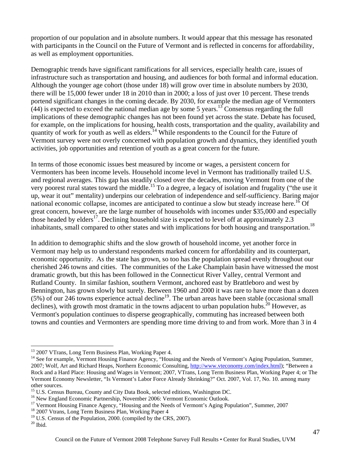proportion of our population and in absolute numbers. It would appear that this message has resonated with participants in the Council on the Future of Vermont and is reflected in concerns for affordability, as well as employment opportunities.

Demographic trends have significant ramifications for all services, especially health care, issues of infrastructure such as transportation and housing, and audiences for both formal and informal education. Although the younger age cohort (those under 18) will grow over time in absolute numbers by 2030, there will be 15,000 fewer under 18 in 2010 than in 2000; a loss of just over 10 percent. These trends portend significant changes in the coming decade. By 2030, for example the median age of Vermonters  $(44)$  is expected to exceed the national median age by some 5 years.<sup>13</sup> Consensus regarding the full implications of these demographic changes has not been found yet across the state. Debate has focused, for example, on the implications for housing, health costs, transportation and the quality, availability and quantity of work for youth as well as elders.<sup>14</sup> While respondents to the Council for the Future of Vermont survey were not overly concerned with population growth and dynamics, they identified youth activities, job opportunities and retention of youth as a great concern for the future.

In terms of those economic issues best measured by income or wages, a persistent concern for Vermonters has been income levels. Household income level in Vermont has traditionally trailed U.S. and regional averages. This gap has steadily closed over the decades, moving Vermont from one of the very poorest rural states toward the middle.15 To a degree, a legacy of isolation and frugality ("the use it up, wear it out" mentality) underpins our celebration of independence and self-sufficiency. Baring major national economic collapse, incomes are anticipated to continue a slow but steady increase here.<sup>16</sup> Of great concern, however, are the large number of households with incomes under \$35,000 and especially those headed by elders<sup>17</sup>. Declining household size is expected to level off at approximately 2.3 inhabitants, small compared to other states and with implications for both housing and transportation.<sup>18</sup>

In addition to demographic shifts and the slow growth of household income, yet another force in Vermont may help us to understand respondents marked concern for affordability and its counterpart, economic opportunity. As the state has grown, so too has the population spread evenly throughout our cherished 246 towns and cities. The communities of the Lake Champlain basin have witnessed the most dramatic growth, but this has been followed in the Connecticut River Valley, central Vermont and Rutland County. In similar fashion, southern Vermont, anchored east by Brattleboro and west by Bennington, has grown slowly but surely. Between 1960 and 2000 it was rare to have more than a dozen  $(5%)$  of our 246 towns experience actual decline<sup>19</sup>. The urban areas have been stable (occasional small declines), with growth most dramatic in the towns adjacent to urban population hubs.<sup>20</sup> However, as Vermont's population continues to disperse geographically, commuting has increased between both towns and counties and Vermonters are spending more time driving to and from work. More than 3 in 4

 $\overline{a}$ 

<sup>&</sup>lt;sup>13</sup> 2007 VTrans, Long Term Business Plan, Working Paper 4.

<sup>&</sup>lt;sup>14</sup> See for example, Vermont Housing Finance Agency, "Housing and the Needs of Vermont's Aging Population, Summer, 2007; Wolf, Art and Richard Heaps, Northern Economic Consulting, http://www.vteconomy.com/index.html); "Between a Rock and a Hard Place: Housing and Wages in Vermont; 2007, VTrans, Long Term Business Plan, Working Paper 4; or The Vermont Economy Newsletter, "Is Vermont's Labor Force Already Shrinking?" Oct. 2007, Vol. 17, No. 10. among many other sources.

<sup>&</sup>lt;sup>15</sup> U.S. Census Bureau, County and City Data Book, selected editions, Washington DC.

<sup>&</sup>lt;sup>16</sup> New England Economic Partnership, November 2006: Vermont Economic Outlook.

<sup>&</sup>lt;sup>17</sup> Vermont Housing Finance Agency, "Housing and the Needs of Vermont's Aging Population", Summer, 2007

<sup>&</sup>lt;sup>18</sup> 2007 Vtrans, Long Term Business Plan, Working Paper 4

<sup>&</sup>lt;sup>19</sup> U.S. Census of the Population, 2000. (compiled by the CRS, 2007).

 $20$  Ibid.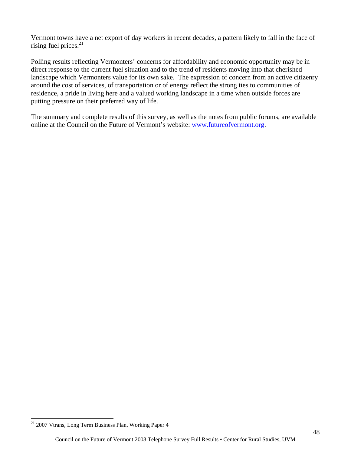Vermont towns have a net export of day workers in recent decades, a pattern likely to fall in the face of rising fuel prices. $21$ 

Polling results reflecting Vermonters' concerns for affordability and economic opportunity may be in direct response to the current fuel situation and to the trend of residents moving into that cherished landscape which Vermonters value for its own sake. The expression of concern from an active citizenry around the cost of services, of transportation or of energy reflect the strong ties to communities of residence, a pride in living here and a valued working landscape in a time when outside forces are putting pressure on their preferred way of life.

The summary and complete results of this survey, as well as the notes from public forums, are available online at the Council on the Future of Vermont's website: www.futureofvermont.org.

1

<sup>&</sup>lt;sup>21</sup> 2007 Vtrans, Long Term Business Plan, Working Paper 4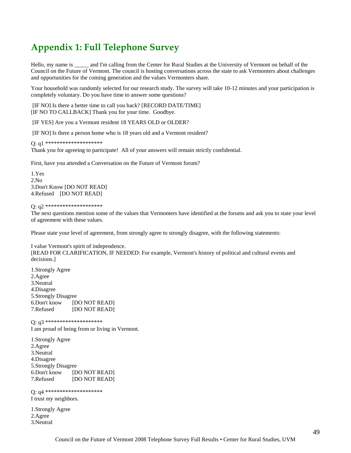# **Appendix 1: Full Telephone Survey**

Hello, my name is and I'm calling from the Center for Rural Studies at the University of Vermont on behalf of the Council on the Future of Vermont. The council is hosting conversations across the state to ask Vermonters about challenges and opportunities for the coming generation and the values Vermonters share.

Your household was randomly selected for our research study. The survey will take 10-12 minutes and your participation is completely voluntary. Do you have time to answer some questions?

 [IF NO] Is there a better time to call you back? [RECORD DATE/TIME] [IF NO TO CALLBACK] Thank you for your time. Goodbye.

[IF YES] Are you a Vermont resident 18 YEARS OLD or OLDER?

[IF NO] Is there a person home who is 18 years old and a Vermont resident?

Q: q1 \*\*\*\*\*\*\*\*\*\*\*\*\*\*\*\*\*\*\*\*

Thank you for agreeing to participate! All of your answers will remain strictly confidential.

First, have you attended a Conversation on the Future of Vermont forum?

1.Yes 2.No 3.Don't Know [DO NOT READ] 4.Refused [DO NOT READ]

Q: q2 \*\*\*\*\*\*\*\*\*\*\*\*\*\*\*\*\*\*\*\*

The next questions mention some of the values that Vermonters have identified at the forums and ask you to state your level of agreement with these values.

Please state your level of agreement, from strongly agree to strongly disagree, with the following statements:

I value Vermont's spirit of independence. [READ FOR CLARIFICATION, IF NEEDED: For example, Vermont's history of political and cultural events and decisions.]

1.Strongly Agree 2.Agree 3.Neutral 4.Disagree 5.Strongly Disagree 6.Don't know [DO NOT READ] 7.Refused [DO NOT READ]

Q: q3 \*\*\*\*\*\*\*\*\*\*\*\*\*\*\*\*\*\*\*\* I am proud of being from or living in Vermont.

1.Strongly Agree 2.Agree 3.Neutral 4.Disagree 5.Strongly Disagree 6.Don't know [DO NOT READ] 7.Refused [DO NOT READ]

Q: q4 \*\*\*\*\*\*\*\*\*\*\*\*\*\*\*\*\*\*\*\* I trust my neighbors.

1.Strongly Agree 2.Agree 3.Neutral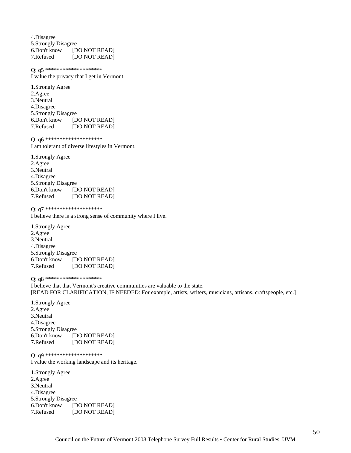4.Disagree 5.Strongly Disagree 6.Don't know [DO NOT READ] 7.Refused [DO NOT READ]

Q: q5 \*\*\*\*\*\*\*\*\*\*\*\*\*\*\*\*\*\*\*\* I value the privacy that I get in Vermont.

1.Strongly Agree 2.Agree 3.Neutral 4.Disagree 5.Strongly Disagree 6.Don't know [DO NOT READ] 7.Refused [DO NOT READ]

Q: q6 \*\*\*\*\*\*\*\*\*\*\*\*\*\*\*\*\*\*\*\*

I am tolerant of diverse lifestyles in Vermont.

1.Strongly Agree 2.Agree 3.Neutral 4.Disagree 5.Strongly Disagree 6.Don't know [DO NOT READ] 7.Refused [DO NOT READ]

Q: q7 \*\*\*\*\*\*\*\*\*\*\*\*\*\*\*\*\*\*\*\*

I believe there is a strong sense of community where I live.

1.Strongly Agree 2.Agree 3.Neutral 4.Disagree 5.Strongly Disagree 6.Don't know [DO NOT READ] 7.Refused [DO NOT READ]

Q: q8 \*\*\*\*\*\*\*\*\*\*\*\*\*\*\*\*\*\*\*\*

I believe that that Vermont's creative communities are valuable to the state. [READ FOR CLARIFICATION, IF NEEDED: For example, artists, writers, musicians, artisans, craftspeople, etc.]

1.Strongly Agree 2.Agree 3.Neutral 4.Disagree 5.Strongly Disagree 6.Don't know [DO NOT READ] 7.Refused [DO NOT READ]

Q: q9 \*\*\*\*\*\*\*\*\*\*\*\*\*\*\*\*\*\*\*\*

I value the working landscape and its heritage.

1.Strongly Agree 2.Agree 3.Neutral 4.Disagree 5.Strongly Disagree 6.Don't know [DO NOT READ] 7.Refused [DO NOT READ]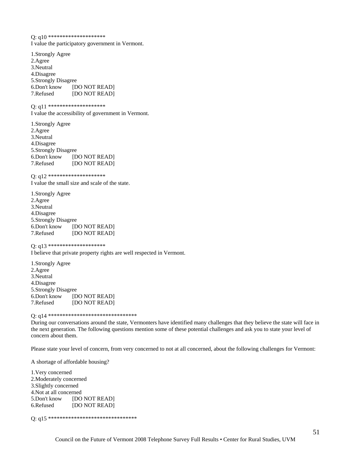Q: q10 \*\*\*\*\*\*\*\*\*\*\*\*\*\*\*\*\*\*\*\* I value the participatory government in Vermont.

1.Strongly Agree 2.Agree 3.Neutral 4.Disagree 5.Strongly Disagree 6.Don't know [DO NOT READ] 7.Refused [DO NOT READ]

Q: q11 \*\*\*\*\*\*\*\*\*\*\*\*\*\*\*\*\*\*\*\*

I value the accessibility of government in Vermont.

1.Strongly Agree 2.Agree 3.Neutral 4.Disagree 5.Strongly Disagree 6.Don't know [DO NOT READ] 7.Refused [DO NOT READ]

Q: q12 \*\*\*\*\*\*\*\*\*\*\*\*\*\*\*\*\*\*\*\*

I value the small size and scale of the state.

1.Strongly Agree 2.Agree 3.Neutral 4.Disagree 5.Strongly Disagree 6.Don't know [DO NOT READ] 7.Refused [DO NOT READ]

Q: q13 \*\*\*\*\*\*\*\*\*\*\*\*\*\*\*\*\*\*\*\*

I believe that private property rights are well respected in Vermont.

1.Strongly Agree 2.Agree 3.Neutral 4.Disagree 5.Strongly Disagree 6.Don't know [DO NOT READ] 7.Refused [DO NOT READ]

Q: q14 \*\*\*\*\*\*\*\*\*\*\*\*\*\*\*\*\*\*\*\*\*\*\*\*\*\*\*\*\*\*\*

During our conversations around the state, Vermonters have identified many challenges that they believe the state will face in the next generation. The following questions mention some of these potential challenges and ask you to state your level of concern about them.

Please state your level of concern, from very concerned to not at all concerned, about the following challenges for Vermont:

A shortage of affordable housing?

1.Very concerned 2.Moderately concerned 3.Slightly concerned 4.Not at all concerned 5.Don't know [DO NOT READ] 6.Refused [DO NOT READ]

Q: q15 \*\*\*\*\*\*\*\*\*\*\*\*\*\*\*\*\*\*\*\*\*\*\*\*\*\*\*\*\*\*\*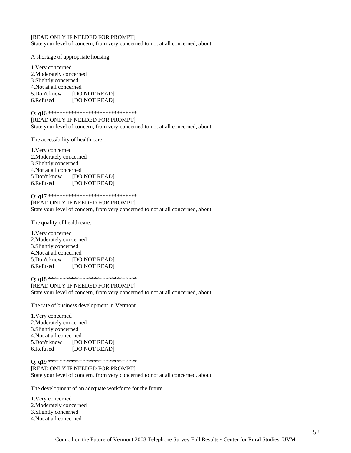#### [READ ONLY IF NEEDED FOR PROMPT]

State your level of concern, from very concerned to not at all concerned, about:

A shortage of appropriate housing.

1.Very concerned 2.Moderately concerned 3.Slightly concerned 4.Not at all concerned 5.Don't know [DO NOT READ] 6.Refused [DO NOT READ]

Q: q16 \*\*\*\*\*\*\*\*\*\*\*\*\*\*\*\*\*\*\*\*\*\*\*\*\*\*\*\*\*\*\* [READ ONLY IF NEEDED FOR PROMPT] State your level of concern, from very concerned to not at all concerned, about:

The accessibility of health care.

1.Very concerned 2.Moderately concerned 3.Slightly concerned 4.Not at all concerned 5.Don't know [DO NOT READ] 6.Refused [DO NOT READ]

Q: q17 \*\*\*\*\*\*\*\*\*\*\*\*\*\*\*\*\*\*\*\*\*\*\*\*\*\*\*\*\*\*\*

[READ ONLY IF NEEDED FOR PROMPT] State your level of concern, from very concerned to not at all concerned, about:

The quality of health care.

1.Very concerned 2.Moderately concerned 3.Slightly concerned 4.Not at all concerned 5.Don't know [DO NOT READ] 6.Refused [DO NOT READ]

Q: q18 \*\*\*\*\*\*\*\*\*\*\*\*\*\*\*\*\*\*\*\*\*\*\*\*\*\*\*\*\*\*\*

[READ ONLY IF NEEDED FOR PROMPT] State your level of concern, from very concerned to not at all concerned, about:

The rate of business development in Vermont.

| 1. Very concerned       |               |  |  |  |  |
|-------------------------|---------------|--|--|--|--|
| 2. Moderately concerned |               |  |  |  |  |
| 3. Slightly concerned   |               |  |  |  |  |
| 4. Not at all concerned |               |  |  |  |  |
| 5.Don't know            | [DO NOT READ] |  |  |  |  |
| 6.Refused               | [DO NOT READ] |  |  |  |  |

Q: q19 \*\*\*\*\*\*\*\*\*\*\*\*\*\*\*\*\*\*\*\*\*\*\*\*\*\*\*\*\*\*\*

#### [READ ONLY IF NEEDED FOR PROMPT] State your level of concern, from very concerned to not at all concerned, about:

The development of an adequate workforce for the future.

1.Very concerned 2.Moderately concerned 3.Slightly concerned 4.Not at all concerned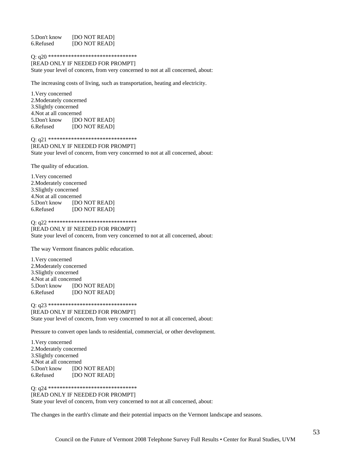5.Don't know [DO NOT READ] 6.Refused [DO NOT READ]

#### Q: q20 \*\*\*\*\*\*\*\*\*\*\*\*\*\*\*\*\*\*\*\*\*\*\*\*\*\*\*\*\*\*\*

[READ ONLY IF NEEDED FOR PROMPT] State your level of concern, from very concerned to not at all concerned, about:

The increasing costs of living, such as transportation, heating and electricity.

1.Very concerned 2.Moderately concerned 3.Slightly concerned 4.Not at all concerned 5.Don't know [DO NOT READ] 6.Refused [DO NOT READ]

Q: q21 \*\*\*\*\*\*\*\*\*\*\*\*\*\*\*\*\*\*\*\*\*\*\*\*\*\*\*\*\*\*\*

#### [READ ONLY IF NEEDED FOR PROMPT] State your level of concern, from very concerned to not at all concerned, about:

The quality of education.

1.Very concerned 2.Moderately concerned 3.Slightly concerned 4.Not at all concerned 5.Don't know [DO NOT READ] 6.Refused [DO NOT READ]

Q: q22 \*\*\*\*\*\*\*\*\*\*\*\*\*\*\*\*\*\*\*\*\*\*\*\*\*\*\*\*\*\*\*

[READ ONLY IF NEEDED FOR PROMPT] State your level of concern, from very concerned to not at all concerned, about:

The way Vermont finances public education.

1.Very concerned 2.Moderately concerned 3.Slightly concerned 4.Not at all concerned 5.Don't know [DO NOT READ] 6.Refused [DO NOT READ]

Q: q23 \*\*\*\*\*\*\*\*\*\*\*\*\*\*\*\*\*\*\*\*\*\*\*\*\*\*\*\*\*\*\*

[READ ONLY IF NEEDED FOR PROMPT] State your level of concern, from very concerned to not at all concerned, about:

Pressure to convert open lands to residential, commercial, or other development.

1.Very concerned 2.Moderately concerned 3.Slightly concerned 4.Not at all concerned 5.Don't know [DO NOT READ] 6.Refused [DO NOT READ]

Q: q24 \*\*\*\*\*\*\*\*\*\*\*\*\*\*\*\*\*\*\*\*\*\*\*\*\*\*\*\*\*\*\*

[READ ONLY IF NEEDED FOR PROMPT]

State your level of concern, from very concerned to not at all concerned, about:

The changes in the earth's climate and their potential impacts on the Vermont landscape and seasons.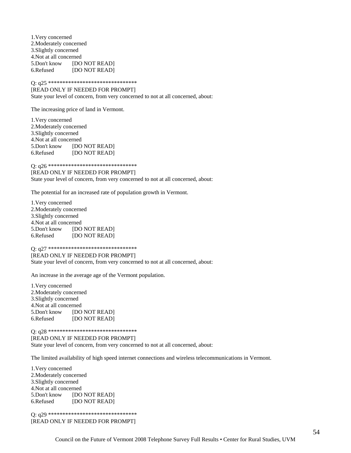1.Very concerned 2.Moderately concerned 3.Slightly concerned 4.Not at all concerned 5.Don't know [DO NOT READ] 6.Refused [DO NOT READ]

Q: q25 \*\*\*\*\*\*\*\*\*\*\*\*\*\*\*\*\*\*\*\*\*\*\*\*\*\*\*\*\*\*\*

[READ ONLY IF NEEDED FOR PROMPT]

State your level of concern, from very concerned to not at all concerned, about:

The increasing price of land in Vermont.

1.Very concerned 2.Moderately concerned 3.Slightly concerned 4.Not at all concerned 5.Don't know [DO NOT READ] 6.Refused [DO NOT READ]

Q: q26 \*\*\*\*\*\*\*\*\*\*\*\*\*\*\*\*\*\*\*\*\*\*\*\*\*\*\*\*\*\*\*

[READ ONLY IF NEEDED FOR PROMPT] State your level of concern, from very concerned to not at all concerned, about:

The potential for an increased rate of population growth in Vermont.

1.Very concerned 2.Moderately concerned 3.Slightly concerned 4.Not at all concerned 5.Don't know [DO NOT READ] 6.Refused [DO NOT READ]

Q: q27 \*\*\*\*\*\*\*\*\*\*\*\*\*\*\*\*\*\*\*\*\*\*\*\*\*\*\*\*\*\*\*

[READ ONLY IF NEEDED FOR PROMPT] State your level of concern, from very concerned to not at all concerned, about:

An increase in the average age of the Vermont population.

1.Very concerned 2.Moderately concerned 3.Slightly concerned 4.Not at all concerned 5.Don't know [DO NOT READ] 6.Refused [DO NOT READ]

Q: q28 \*\*\*\*\*\*\*\*\*\*\*\*\*\*\*\*\*\*\*\*\*\*\*\*\*\*\*\*\*\*\*

[READ ONLY IF NEEDED FOR PROMPT] State your level of concern, from very concerned to not at all concerned, about:

The limited availability of high speed internet connections and wireless telecommunications in Vermont.

1.Very concerned 2.Moderately concerned 3.Slightly concerned 4.Not at all concerned 5.Don't know [DO NOT READ] 6.Refused [DO NOT READ]

Q: q29 \*\*\*\*\*\*\*\*\*\*\*\*\*\*\*\*\*\*\*\*\*\*\*\*\*\*\*\*\*\*\* [READ ONLY IF NEEDED FOR PROMPT]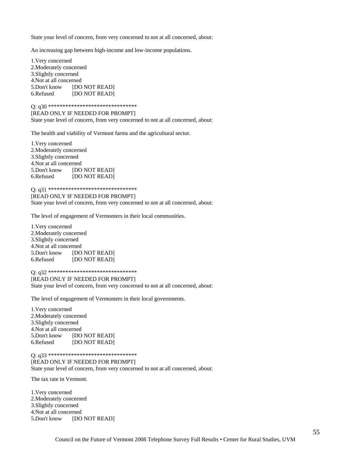State your level of concern, from very concerned to not at all concerned, about:

An increasing gap between high-income and low-income populations.

1.Very concerned 2.Moderately concerned 3.Slightly concerned 4.Not at all concerned 5.Don't know [DO NOT READ] 6.Refused [DO NOT READ]

#### Q: q30 \*\*\*\*\*\*\*\*\*\*\*\*\*\*\*\*\*\*\*\*\*\*\*\*\*\*\*\*\*\*\*

[READ ONLY IF NEEDED FOR PROMPT] State your level of concern, from very concerned to not at all concerned, about:

The health and viability of Vermont farms and the agricultural sector.

1.Very concerned 2.Moderately concerned 3.Slightly concerned 4.Not at all concerned 5.Don't know [DO NOT READ] 6.Refused [DO NOT READ]

#### Q: q31 \*\*\*\*\*\*\*\*\*\*\*\*\*\*\*\*\*\*\*\*\*\*\*\*\*\*\*\*\*\*\*

[READ ONLY IF NEEDED FOR PROMPT] State your level of concern, from very concerned to not at all concerned, about:

The level of engagement of Vermonters in their local communities.

1.Very concerned 2.Moderately concerned 3.Slightly concerned 4.Not at all concerned 5.Don't know [DO NOT READ] 6.Refused [DO NOT READ]

Q: q32 \*\*\*\*\*\*\*\*\*\*\*\*\*\*\*\*\*\*\*\*\*\*\*\*\*\*\*\*\*\*\*

[READ ONLY IF NEEDED FOR PROMPT] State your level of concern, from very concerned to not at all concerned, about:

The level of engagement of Vermonters in their local governments.

1.Very concerned 2.Moderately concerned 3.Slightly concerned 4.Not at all concerned 5.Don't know [DO NOT READ] 6.Refused [DO NOT READ]

Q: q33 \*\*\*\*\*\*\*\*\*\*\*\*\*\*\*\*\*\*\*\*\*\*\*\*\*\*\*\*\*\*\*

[READ ONLY IF NEEDED FOR PROMPT] State your level of concern, from very concerned to not at all concerned, about:

The tax rate in Vermont.

1.Very concerned 2.Moderately concerned 3.Slightly concerned 4.Not at all concerned 5.Don't know [DO NOT READ]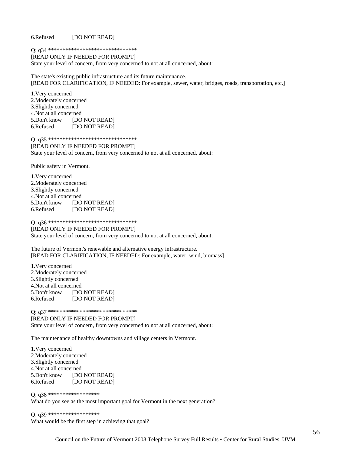6.Refused [DO NOT READ]

Q: q34 \*\*\*\*\*\*\*\*\*\*\*\*\*\*\*\*\*\*\*\*\*\*\*\*\*\*\*\*\*\*\*

[READ ONLY IF NEEDED FOR PROMPT]

State your level of concern, from very concerned to not at all concerned, about:

The state's existing public infrastructure and its future maintenance. [READ FOR CLARIFICATION, IF NEEDED: For example, sewer, water, bridges, roads, transportation, etc.]

1.Very concerned 2.Moderately concerned 3.Slightly concerned 4.Not at all concerned 5.Don't know [DO NOT READ] 6.Refused [DO NOT READ]

Q: q35 \*\*\*\*\*\*\*\*\*\*\*\*\*\*\*\*\*\*\*\*\*\*\*\*\*\*\*\*\*\*\*

[READ ONLY IF NEEDED FOR PROMPT] State your level of concern, from very concerned to not at all concerned, about:

Public safety in Vermont.

1.Very concerned 2.Moderately concerned 3.Slightly concerned 4.Not at all concerned 5.Don't know [DO NOT READ] 6.Refused [DO NOT READ]

Q: q36 \*\*\*\*\*\*\*\*\*\*\*\*\*\*\*\*\*\*\*\*\*\*\*\*\*\*\*\*\*\*\*

[READ ONLY IF NEEDED FOR PROMPT] State your level of concern, from very concerned to not at all concerned, about:

The future of Vermont's renewable and alternative energy infrastructure. [READ FOR CLARIFICATION, IF NEEDED: For example, water, wind, biomass]

1.Very concerned 2.Moderately concerned 3.Slightly concerned 4.Not at all concerned 5.Don't know [DO NOT READ] 6.Refused [DO NOT READ]

Q: q37 \*\*\*\*\*\*\*\*\*\*\*\*\*\*\*\*\*\*\*\*\*\*\*\*\*\*\*\*\*\*\* [READ ONLY IF NEEDED FOR PROMPT] State your level of concern, from very concerned to not at all concerned, about:

The maintenance of healthy downtowns and village centers in Vermont.

1.Very concerned 2.Moderately concerned 3.Slightly concerned 4.Not at all concerned 5.Don't know [DO NOT READ] 6.Refused [DO NOT READ]

#### Q: q38 \*\*\*\*\*\*\*\*\*\*\*\*\*\*\*\*\*\*

What do you see as the most important goal for Vermont in the next generation?

Q: q39 \*\*\*\*\*\*\*\*\*\*\*\*\*\*\*\*\*\* What would be the first step in achieving that goal?